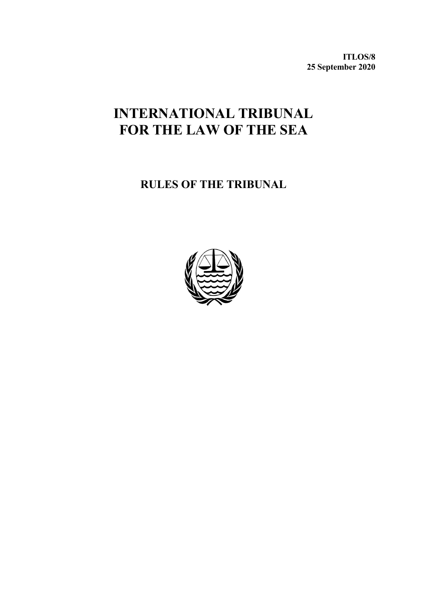**ITLOS/8 25 September 2020** 

# **INTERNATIONAL TRIBUNAL FOR THE LAW OF THE SEA**

**RULES OF THE TRIBUNAL** 

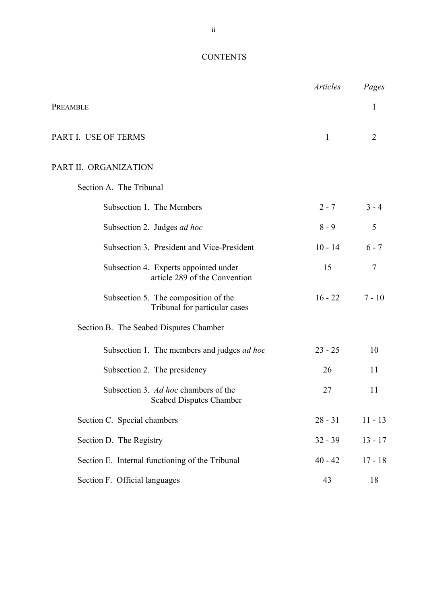# **CONTENTS**

|                                                                        | Articles     | Pages          |
|------------------------------------------------------------------------|--------------|----------------|
| Preamble                                                               |              | 1              |
| PART I. USE OF TERMS                                                   | $\mathbf{1}$ | $\overline{2}$ |
| PART II. ORGANIZATION                                                  |              |                |
| Section A. The Tribunal                                                |              |                |
| Subsection 1. The Members                                              | $2 - 7$      | $3 - 4$        |
| Subsection 2. Judges <i>ad hoc</i>                                     | $8 - 9$      | 5              |
| Subsection 3. President and Vice-President                             | $10 - 14$    | $6 - 7$        |
| Subsection 4. Experts appointed under<br>article 289 of the Convention | 15           | 7              |
| Subsection 5. The composition of the<br>Tribunal for particular cases  | $16 - 22$    | $7 - 10$       |
| Section B. The Seabed Disputes Chamber                                 |              |                |
| Subsection 1. The members and judges <i>ad hoc</i>                     | $23 - 25$    | 10             |
| Subsection 2. The presidency                                           | 26           | 11             |
| Subsection 3. Ad hoc chambers of the<br><b>Seabed Disputes Chamber</b> | 27           | 11             |
| Section C. Special chambers                                            | $28 - 31$    | $11 - 13$      |
| Section D. The Registry                                                | $32 - 39$    | $13 - 17$      |
| Section E. Internal functioning of the Tribunal                        | $40 - 42$    | $17 - 18$      |
| Section F. Official languages                                          | 43           | 18             |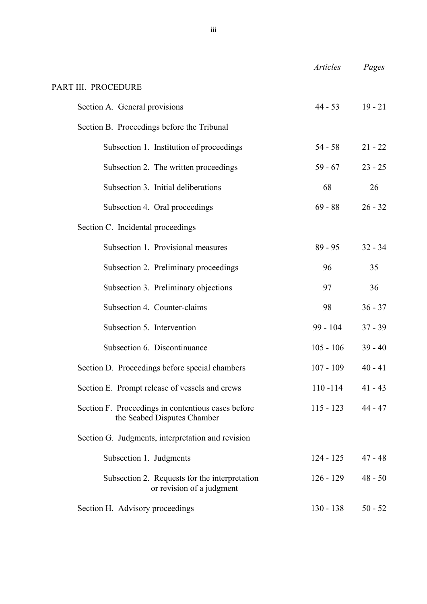|                                                                                   | <i>Articles</i> | Pages     |
|-----------------------------------------------------------------------------------|-----------------|-----------|
| PART III. PROCEDURE                                                               |                 |           |
| Section A. General provisions                                                     | $44 - 53$       | $19 - 21$ |
| Section B. Proceedings before the Tribunal                                        |                 |           |
| Subsection 1. Institution of proceedings                                          | $54 - 58$       | $21 - 22$ |
| Subsection 2. The written proceedings                                             | $59 - 67$       | $23 - 25$ |
| Subsection 3. Initial deliberations                                               | 68              | 26        |
| Subsection 4. Oral proceedings                                                    | $69 - 88$       | $26 - 32$ |
| Section C. Incidental proceedings                                                 |                 |           |
| Subsection 1. Provisional measures                                                | $89 - 95$       | $32 - 34$ |
| Subsection 2. Preliminary proceedings                                             | 96              | 35        |
| Subsection 3. Preliminary objections                                              | 97              | 36        |
| Subsection 4. Counter-claims                                                      | 98              | $36 - 37$ |
| Subsection 5. Intervention                                                        | $99 - 104$      | $37 - 39$ |
| Subsection 6. Discontinuance                                                      | $105 - 106$     | $39 - 40$ |
| Section D. Proceedings before special chambers                                    | $107 - 109$     | $40 - 41$ |
| Section E. Prompt release of vessels and crews                                    | $110 - 114$     | $41 - 43$ |
| Section F. Proceedings in contentious cases before<br>the Seabed Disputes Chamber | $115 - 123$     | $44 - 47$ |
| Section G. Judgments, interpretation and revision                                 |                 |           |
| Subsection 1. Judgments                                                           | $124 - 125$     | $47 - 48$ |
| Subsection 2. Requests for the interpretation<br>or revision of a judgment        | $126 - 129$     | $48 - 50$ |
| Section H. Advisory proceedings                                                   | $130 - 138$     | $50 - 52$ |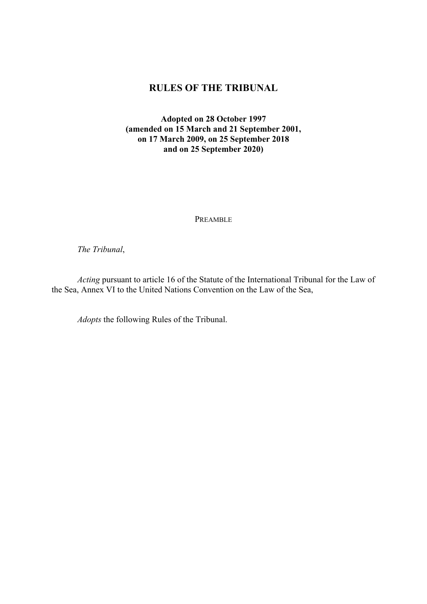# **RULES OF THE TRIBUNAL**

**Adopted on 28 October 1997 (amended on 15 March and 21 September 2001, on 17 March 2009, on 25 September 2018 and on 25 September 2020)**

PREAMBLE

*The Tribunal*,

*Acting* pursuant to article 16 of the Statute of the International Tribunal for the Law of the Sea, Annex VI to the United Nations Convention on the Law of the Sea,

*Adopts* the following Rules of the Tribunal.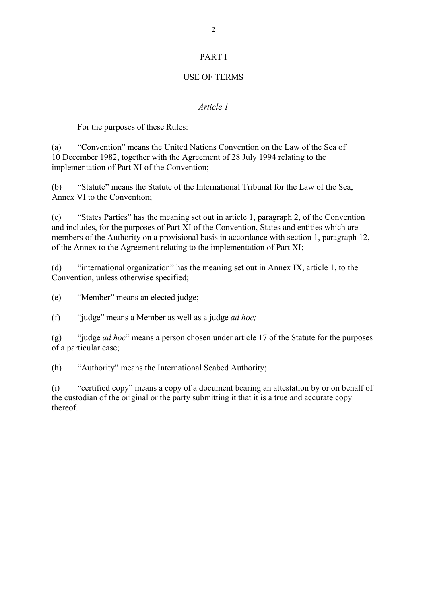### PART I

#### USE OF TERMS

#### *Article 1*

For the purposes of these Rules:

(a) "Convention" means the United Nations Convention on the Law of the Sea of 10 December 1982, together with the Agreement of 28 July 1994 relating to the implementation of Part XI of the Convention;

(b) "Statute" means the Statute of the International Tribunal for the Law of the Sea, Annex VI to the Convention;

(c) "States Parties" has the meaning set out in article 1, paragraph 2, of the Convention and includes, for the purposes of Part XI of the Convention, States and entities which are members of the Authority on a provisional basis in accordance with section 1, paragraph 12, of the Annex to the Agreement relating to the implementation of Part XI;

(d) "international organization" has the meaning set out in Annex IX, article 1, to the Convention, unless otherwise specified;

(e) "Member" means an elected judge;

(f) "judge" means a Member as well as a judge *ad hoc;*

(g) "judge *ad hoc*" means a person chosen under article 17 of the Statute for the purposes of a particular case;

(h) "Authority" means the International Seabed Authority;

(i) "certified copy" means a copy of a document bearing an attestation by or on behalf of the custodian of the original or the party submitting it that it is a true and accurate copy thereof.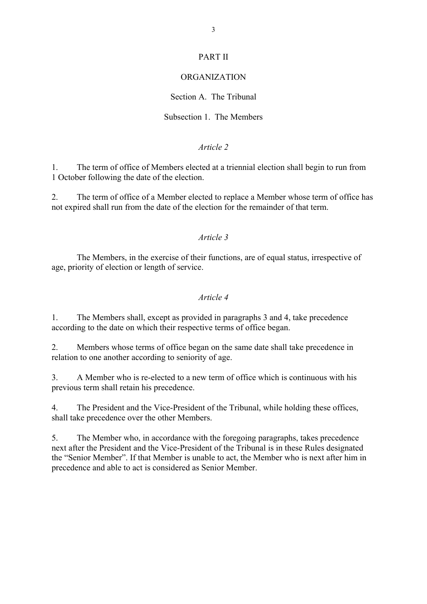### PART II

#### ORGANIZATION

### Section A. The Tribunal

### Subsection 1. The Members

#### *Article 2*

1. The term of office of Members elected at a triennial election shall begin to run from 1 October following the date of the election.

2. The term of office of a Member elected to replace a Member whose term of office has not expired shall run from the date of the election for the remainder of that term.

#### *Article 3*

 The Members, in the exercise of their functions, are of equal status, irrespective of age, priority of election or length of service.

#### *Article 4*

1. The Members shall, except as provided in paragraphs 3 and 4, take precedence according to the date on which their respective terms of office began.

2. Members whose terms of office began on the same date shall take precedence in relation to one another according to seniority of age.

3. A Member who is re-elected to a new term of office which is continuous with his previous term shall retain his precedence.

4. The President and the Vice-President of the Tribunal, while holding these offices, shall take precedence over the other Members.

5. The Member who, in accordance with the foregoing paragraphs, takes precedence next after the President and the Vice-President of the Tribunal is in these Rules designated the "Senior Member". If that Member is unable to act, the Member who is next after him in precedence and able to act is considered as Senior Member.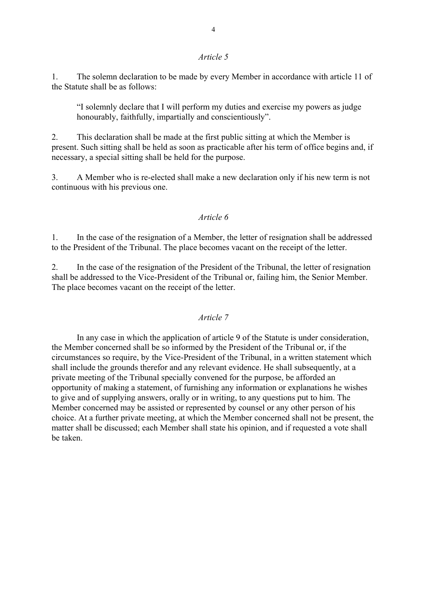#### *Article 5*

1. The solemn declaration to be made by every Member in accordance with article 11 of the Statute shall be as follows:

"I solemnly declare that I will perform my duties and exercise my powers as judge honourably, faithfully, impartially and conscientiously".

2. This declaration shall be made at the first public sitting at which the Member is present. Such sitting shall be held as soon as practicable after his term of office begins and, if necessary, a special sitting shall be held for the purpose.

3. A Member who is re-elected shall make a new declaration only if his new term is not continuous with his previous one.

#### *Article 6*

1. In the case of the resignation of a Member, the letter of resignation shall be addressed to the President of the Tribunal. The place becomes vacant on the receipt of the letter.

2. In the case of the resignation of the President of the Tribunal, the letter of resignation shall be addressed to the Vice-President of the Tribunal or, failing him, the Senior Member. The place becomes vacant on the receipt of the letter.

#### *Article 7*

 In any case in which the application of article 9 of the Statute is under consideration, the Member concerned shall be so informed by the President of the Tribunal or, if the circumstances so require, by the Vice-President of the Tribunal, in a written statement which shall include the grounds therefor and any relevant evidence. He shall subsequently, at a private meeting of the Tribunal specially convened for the purpose, be afforded an opportunity of making a statement, of furnishing any information or explanations he wishes to give and of supplying answers, orally or in writing, to any questions put to him. The Member concerned may be assisted or represented by counsel or any other person of his choice. At a further private meeting, at which the Member concerned shall not be present, the matter shall be discussed; each Member shall state his opinion, and if requested a vote shall be taken.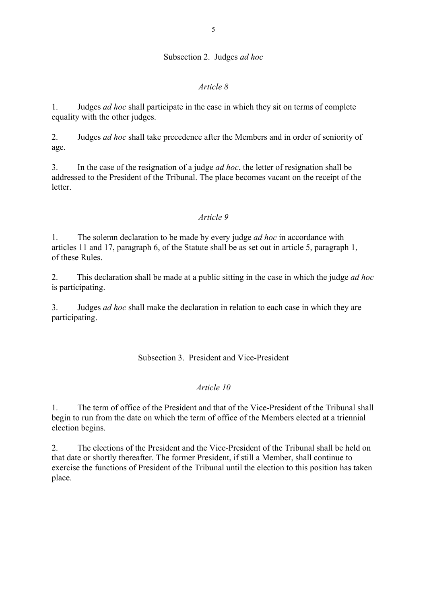### Subsection 2. Judges *ad hoc*

### *Article 8*

1. Judges *ad hoc* shall participate in the case in which they sit on terms of complete equality with the other judges.

2. Judges *ad hoc* shall take precedence after the Members and in order of seniority of age.

3. In the case of the resignation of a judge *ad hoc*, the letter of resignation shall be addressed to the President of the Tribunal. The place becomes vacant on the receipt of the **letter** 

### *Article 9*

1. The solemn declaration to be made by every judge *ad hoc* in accordance with articles 11 and 17, paragraph 6, of the Statute shall be as set out in article 5, paragraph 1, of these Rules.

2. This declaration shall be made at a public sitting in the case in which the judge *ad hoc*  is participating.

3. Judges *ad hoc* shall make the declaration in relation to each case in which they are participating.

### Subsection 3. President and Vice-President

#### *Article 10*

1. The term of office of the President and that of the Vice-President of the Tribunal shall begin to run from the date on which the term of office of the Members elected at a triennial election begins.

2. The elections of the President and the Vice-President of the Tribunal shall be held on that date or shortly thereafter. The former President, if still a Member, shall continue to exercise the functions of President of the Tribunal until the election to this position has taken place.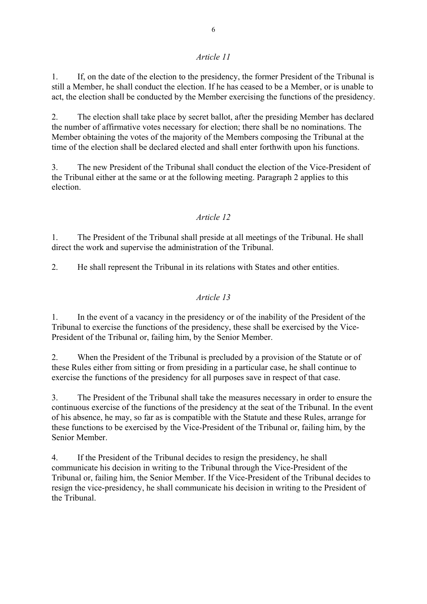### *Article 11*

1. If, on the date of the election to the presidency, the former President of the Tribunal is still a Member, he shall conduct the election. If he has ceased to be a Member, or is unable to act, the election shall be conducted by the Member exercising the functions of the presidency.

2. The election shall take place by secret ballot, after the presiding Member has declared the number of affirmative votes necessary for election; there shall be no nominations. The Member obtaining the votes of the majority of the Members composing the Tribunal at the time of the election shall be declared elected and shall enter forthwith upon his functions.

3. The new President of the Tribunal shall conduct the election of the Vice-President of the Tribunal either at the same or at the following meeting. Paragraph 2 applies to this election.

# *Article 12*

1. The President of the Tribunal shall preside at all meetings of the Tribunal. He shall direct the work and supervise the administration of the Tribunal.

2. He shall represent the Tribunal in its relations with States and other entities.

# *Article 13*

1. In the event of a vacancy in the presidency or of the inability of the President of the Tribunal to exercise the functions of the presidency, these shall be exercised by the Vice-President of the Tribunal or, failing him, by the Senior Member.

2. When the President of the Tribunal is precluded by a provision of the Statute or of these Rules either from sitting or from presiding in a particular case, he shall continue to exercise the functions of the presidency for all purposes save in respect of that case.

3. The President of the Tribunal shall take the measures necessary in order to ensure the continuous exercise of the functions of the presidency at the seat of the Tribunal. In the event of his absence, he may, so far as is compatible with the Statute and these Rules, arrange for these functions to be exercised by the Vice-President of the Tribunal or, failing him, by the Senior Member.

4. If the President of the Tribunal decides to resign the presidency, he shall communicate his decision in writing to the Tribunal through the Vice-President of the Tribunal or, failing him, the Senior Member. If the Vice-President of the Tribunal decides to resign the vice-presidency, he shall communicate his decision in writing to the President of the Tribunal.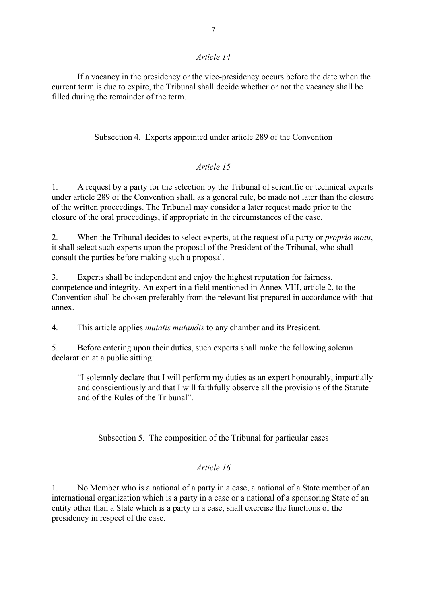### *Article 14*

 If a vacancy in the presidency or the vice-presidency occurs before the date when the current term is due to expire, the Tribunal shall decide whether or not the vacancy shall be filled during the remainder of the term.

# Subsection 4. Experts appointed under article 289 of the Convention

# *Article 15*

1. A request by a party for the selection by the Tribunal of scientific or technical experts under article 289 of the Convention shall, as a general rule, be made not later than the closure of the written proceedings. The Tribunal may consider a later request made prior to the closure of the oral proceedings, if appropriate in the circumstances of the case.

2. When the Tribunal decides to select experts, at the request of a party or *proprio motu*, it shall select such experts upon the proposal of the President of the Tribunal, who shall consult the parties before making such a proposal.

3. Experts shall be independent and enjoy the highest reputation for fairness, competence and integrity. An expert in a field mentioned in Annex VIII, article 2, to the Convention shall be chosen preferably from the relevant list prepared in accordance with that annex.

4. This article applies *mutatis mutandis* to any chamber and its President.

5. Before entering upon their duties, such experts shall make the following solemn declaration at a public sitting:

"I solemnly declare that I will perform my duties as an expert honourably, impartially and conscientiously and that I will faithfully observe all the provisions of the Statute and of the Rules of the Tribunal".

Subsection 5. The composition of the Tribunal for particular cases

### *Article 16*

1. No Member who is a national of a party in a case, a national of a State member of an international organization which is a party in a case or a national of a sponsoring State of an entity other than a State which is a party in a case, shall exercise the functions of the presidency in respect of the case.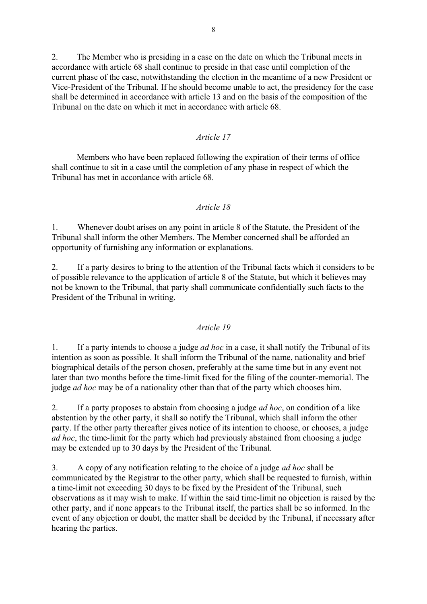2. The Member who is presiding in a case on the date on which the Tribunal meets in accordance with article 68 shall continue to preside in that case until completion of the current phase of the case, notwithstanding the election in the meantime of a new President or Vice-President of the Tribunal. If he should become unable to act, the presidency for the case shall be determined in accordance with article 13 and on the basis of the composition of the Tribunal on the date on which it met in accordance with article 68.

### *Article 17*

 Members who have been replaced following the expiration of their terms of office shall continue to sit in a case until the completion of any phase in respect of which the Tribunal has met in accordance with article 68.

#### *Article 18*

1. Whenever doubt arises on any point in article 8 of the Statute, the President of the Tribunal shall inform the other Members. The Member concerned shall be afforded an opportunity of furnishing any information or explanations.

2. If a party desires to bring to the attention of the Tribunal facts which it considers to be of possible relevance to the application of article 8 of the Statute, but which it believes may not be known to the Tribunal, that party shall communicate confidentially such facts to the President of the Tribunal in writing.

#### *Article 19*

1. If a party intends to choose a judge *ad hoc* in a case, it shall notify the Tribunal of its intention as soon as possible. It shall inform the Tribunal of the name, nationality and brief biographical details of the person chosen, preferably at the same time but in any event not later than two months before the time-limit fixed for the filing of the counter-memorial. The judge *ad hoc* may be of a nationality other than that of the party which chooses him.

2. If a party proposes to abstain from choosing a judge *ad hoc*, on condition of a like abstention by the other party, it shall so notify the Tribunal, which shall inform the other party. If the other party thereafter gives notice of its intention to choose, or chooses, a judge *ad hoc*, the time-limit for the party which had previously abstained from choosing a judge may be extended up to 30 days by the President of the Tribunal.

3. A copy of any notification relating to the choice of a judge *ad hoc* shall be communicated by the Registrar to the other party, which shall be requested to furnish, within a time-limit not exceeding 30 days to be fixed by the President of the Tribunal, such observations as it may wish to make. If within the said time-limit no objection is raised by the other party, and if none appears to the Tribunal itself, the parties shall be so informed. In the event of any objection or doubt, the matter shall be decided by the Tribunal, if necessary after hearing the parties.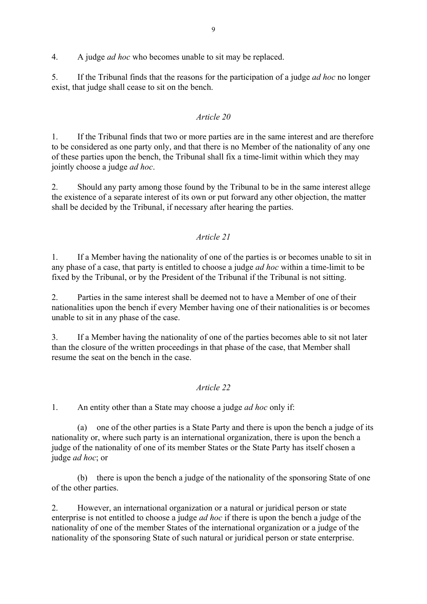4. A judge *ad hoc* who becomes unable to sit may be replaced.

5. If the Tribunal finds that the reasons for the participation of a judge *ad hoc* no longer exist, that judge shall cease to sit on the bench.

### *Article 20*

1. If the Tribunal finds that two or more parties are in the same interest and are therefore to be considered as one party only, and that there is no Member of the nationality of any one of these parties upon the bench, the Tribunal shall fix a time-limit within which they may jointly choose a judge *ad hoc*.

2. Should any party among those found by the Tribunal to be in the same interest allege the existence of a separate interest of its own or put forward any other objection, the matter shall be decided by the Tribunal, if necessary after hearing the parties.

### *Article 21*

1. If a Member having the nationality of one of the parties is or becomes unable to sit in any phase of a case, that party is entitled to choose a judge *ad hoc* within a time-limit to be fixed by the Tribunal, or by the President of the Tribunal if the Tribunal is not sitting.

2. Parties in the same interest shall be deemed not to have a Member of one of their nationalities upon the bench if every Member having one of their nationalities is or becomes unable to sit in any phase of the case.

3. If a Member having the nationality of one of the parties becomes able to sit not later than the closure of the written proceedings in that phase of the case, that Member shall resume the seat on the bench in the case.

#### *Article 22*

1. An entity other than a State may choose a judge *ad hoc* only if:

 (a) one of the other parties is a State Party and there is upon the bench a judge of its nationality or, where such party is an international organization, there is upon the bench a judge of the nationality of one of its member States or the State Party has itself chosen a judge *ad hoc*; or

 (b) there is upon the bench a judge of the nationality of the sponsoring State of one of the other parties.

2. However, an international organization or a natural or juridical person or state enterprise is not entitled to choose a judge *ad hoc* if there is upon the bench a judge of the nationality of one of the member States of the international organization or a judge of the nationality of the sponsoring State of such natural or juridical person or state enterprise.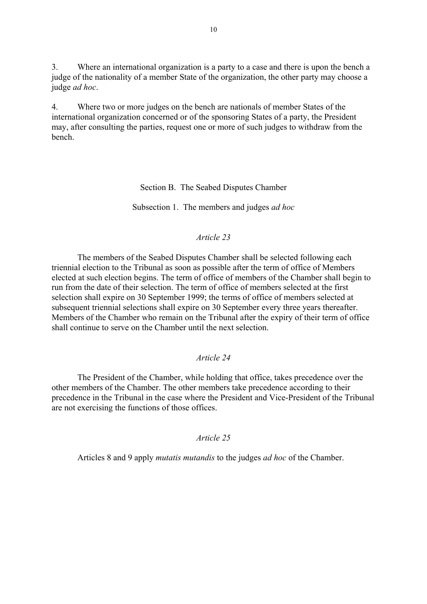3. Where an international organization is a party to a case and there is upon the bench a judge of the nationality of a member State of the organization, the other party may choose a judge *ad hoc*.

4. Where two or more judges on the bench are nationals of member States of the international organization concerned or of the sponsoring States of a party, the President may, after consulting the parties, request one or more of such judges to withdraw from the bench.

Section B. The Seabed Disputes Chamber

Subsection 1. The members and judges *ad hoc* 

#### *Article 23*

 The members of the Seabed Disputes Chamber shall be selected following each triennial election to the Tribunal as soon as possible after the term of office of Members elected at such election begins. The term of office of members of the Chamber shall begin to run from the date of their selection. The term of office of members selected at the first selection shall expire on 30 September 1999; the terms of office of members selected at subsequent triennial selections shall expire on 30 September every three years thereafter. Members of the Chamber who remain on the Tribunal after the expiry of their term of office shall continue to serve on the Chamber until the next selection.

#### *Article 24*

 The President of the Chamber, while holding that office, takes precedence over the other members of the Chamber. The other members take precedence according to their precedence in the Tribunal in the case where the President and Vice-President of the Tribunal are not exercising the functions of those offices.

#### *Article 25*

Articles 8 and 9 apply *mutatis mutandis* to the judges *ad hoc* of the Chamber.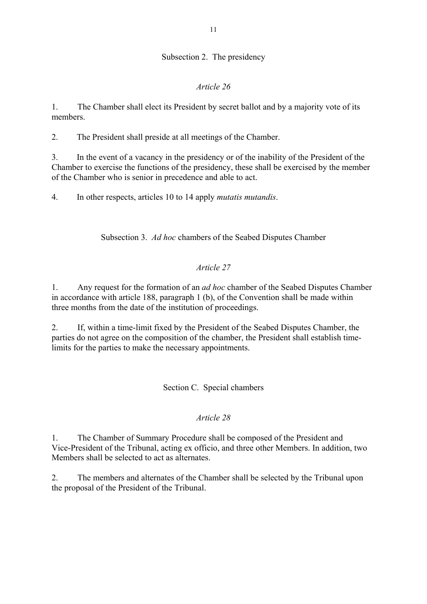### Subsection 2. The presidency

### *Article 26*

1. The Chamber shall elect its President by secret ballot and by a majority vote of its members.

2. The President shall preside at all meetings of the Chamber.

3. In the event of a vacancy in the presidency or of the inability of the President of the Chamber to exercise the functions of the presidency, these shall be exercised by the member of the Chamber who is senior in precedence and able to act.

4. In other respects, articles 10 to 14 apply *mutatis mutandis*.

# Subsection 3. *Ad hoc* chambers of the Seabed Disputes Chamber

# *Article 27*

1. Any request for the formation of an *ad hoc* chamber of the Seabed Disputes Chamber in accordance with article 188, paragraph 1 (b), of the Convention shall be made within three months from the date of the institution of proceedings.

2. If, within a time-limit fixed by the President of the Seabed Disputes Chamber, the parties do not agree on the composition of the chamber, the President shall establish timelimits for the parties to make the necessary appointments.

### Section C. Special chambers

### *Article 28*

1. The Chamber of Summary Procedure shall be composed of the President and Vice-President of the Tribunal, acting ex officio, and three other Members. In addition, two Members shall be selected to act as alternates.

2. The members and alternates of the Chamber shall be selected by the Tribunal upon the proposal of the President of the Tribunal.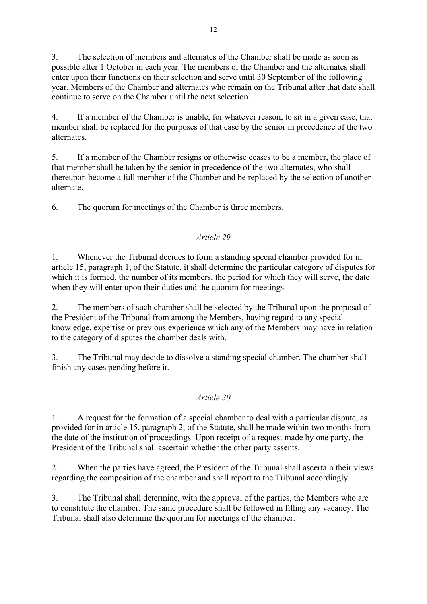3. The selection of members and alternates of the Chamber shall be made as soon as possible after 1 October in each year. The members of the Chamber and the alternates shall enter upon their functions on their selection and serve until 30 September of the following year. Members of the Chamber and alternates who remain on the Tribunal after that date shall continue to serve on the Chamber until the next selection.

4. If a member of the Chamber is unable, for whatever reason, to sit in a given case, that member shall be replaced for the purposes of that case by the senior in precedence of the two alternates.

5. If a member of the Chamber resigns or otherwise ceases to be a member, the place of that member shall be taken by the senior in precedence of the two alternates, who shall thereupon become a full member of the Chamber and be replaced by the selection of another alternate.

6. The quorum for meetings of the Chamber is three members.

# *Article 29*

1. Whenever the Tribunal decides to form a standing special chamber provided for in article 15, paragraph 1, of the Statute, it shall determine the particular category of disputes for which it is formed, the number of its members, the period for which they will serve, the date when they will enter upon their duties and the quorum for meetings.

2. The members of such chamber shall be selected by the Tribunal upon the proposal of the President of the Tribunal from among the Members, having regard to any special knowledge, expertise or previous experience which any of the Members may have in relation to the category of disputes the chamber deals with.

3. The Tribunal may decide to dissolve a standing special chamber. The chamber shall finish any cases pending before it.

# *Article 30*

1. A request for the formation of a special chamber to deal with a particular dispute, as provided for in article 15, paragraph 2, of the Statute, shall be made within two months from the date of the institution of proceedings. Upon receipt of a request made by one party, the President of the Tribunal shall ascertain whether the other party assents.

2. When the parties have agreed, the President of the Tribunal shall ascertain their views regarding the composition of the chamber and shall report to the Tribunal accordingly.

3. The Tribunal shall determine, with the approval of the parties, the Members who are to constitute the chamber. The same procedure shall be followed in filling any vacancy. The Tribunal shall also determine the quorum for meetings of the chamber.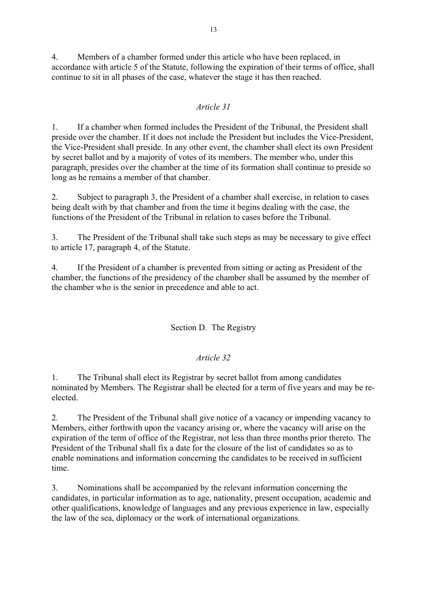4. Members of a chamber formed under this article who have been replaced, in accordance with article 5 of the Statute, following the expiration of their terms of office, shall continue to sit in all phases of the case, whatever the stage it has then reached.

### *Article 31*

1. If a chamber when formed includes the President of the Tribunal, the President shall preside over the chamber. If it does not include the President but includes the Vice-President, the Vice-President shall preside. In any other event, the chamber shall elect its own President by secret ballot and by a majority of votes of its members. The member who, under this paragraph, presides over the chamber at the time of its formation shall continue to preside so long as he remains a member of that chamber.

2. Subject to paragraph 3, the President of a chamber shall exercise, in relation to cases being dealt with by that chamber and from the time it begins dealing with the case, the functions of the President of the Tribunal in relation to cases before the Tribunal.

3. The President of the Tribunal shall take such steps as may be necessary to give effect to article 17, paragraph 4, of the Statute.

4. If the President of a chamber is prevented from sitting or acting as President of the chamber, the functions of the presidency of the chamber shall be assumed by the member of the chamber who is the senior in precedence and able to act.

### Section D. The Registry

#### *Article 32*

1. The Tribunal shall elect its Registrar by secret ballot from among candidates nominated by Members. The Registrar shall be elected for a term of five years and may be reelected.

2. The President of the Tribunal shall give notice of a vacancy or impending vacancy to Members, either forthwith upon the vacancy arising or, where the vacancy will arise on the expiration of the term of office of the Registrar, not less than three months prior thereto. The President of the Tribunal shall fix a date for the closure of the list of candidates so as to enable nominations and information concerning the candidates to be received in sufficient time.

3. Nominations shall be accompanied by the relevant information concerning the candidates, in particular information as to age, nationality, present occupation, academic and other qualifications, knowledge of languages and any previous experience in law, especially the law of the sea, diplomacy or the work of international organizations.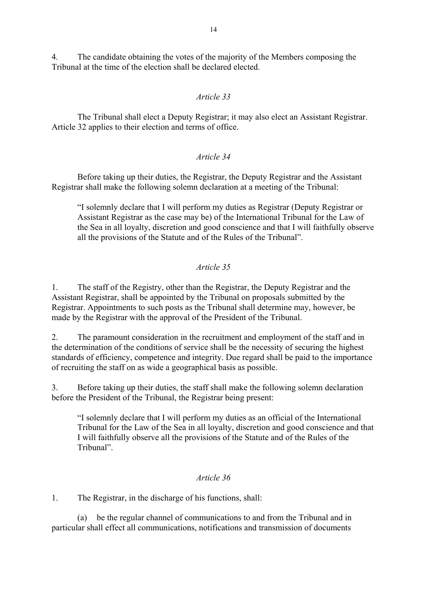4. The candidate obtaining the votes of the majority of the Members composing the Tribunal at the time of the election shall be declared elected.

#### *Article 33*

 The Tribunal shall elect a Deputy Registrar; it may also elect an Assistant Registrar. Article 32 applies to their election and terms of office.

### *Article 34*

 Before taking up their duties, the Registrar, the Deputy Registrar and the Assistant Registrar shall make the following solemn declaration at a meeting of the Tribunal:

"I solemnly declare that I will perform my duties as Registrar (Deputy Registrar or Assistant Registrar as the case may be) of the International Tribunal for the Law of the Sea in all loyalty, discretion and good conscience and that I will faithfully observe all the provisions of the Statute and of the Rules of the Tribunal".

#### *Article 35*

1. The staff of the Registry, other than the Registrar, the Deputy Registrar and the Assistant Registrar, shall be appointed by the Tribunal on proposals submitted by the Registrar. Appointments to such posts as the Tribunal shall determine may, however, be made by the Registrar with the approval of the President of the Tribunal.

2. The paramount consideration in the recruitment and employment of the staff and in the determination of the conditions of service shall be the necessity of securing the highest standards of efficiency, competence and integrity. Due regard shall be paid to the importance of recruiting the staff on as wide a geographical basis as possible.

3. Before taking up their duties, the staff shall make the following solemn declaration before the President of the Tribunal, the Registrar being present:

"I solemnly declare that I will perform my duties as an official of the International Tribunal for the Law of the Sea in all loyalty, discretion and good conscience and that I will faithfully observe all the provisions of the Statute and of the Rules of the Tribunal".

#### *Article 36*

1. The Registrar, in the discharge of his functions, shall:

 (a) be the regular channel of communications to and from the Tribunal and in particular shall effect all communications, notifications and transmission of documents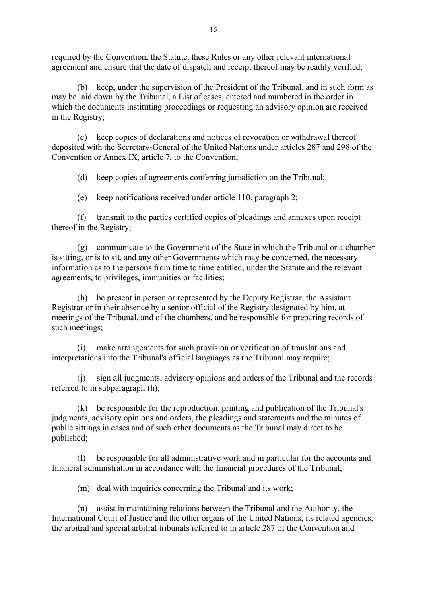required by the Convention, the Statute, these Rules or any other relevant international agreement and ensure that the date of dispatch and receipt thereof may be readily verified;

 (b) keep, under the supervision of the President of the Tribunal, and in such form as may be laid down by the Tribunal, a List of cases, entered and numbered in the order in which the documents instituting proceedings or requesting an advisory opinion are received in the Registry;

 (c) keep copies of declarations and notices of revocation or withdrawal thereof deposited with the Secretary-General of the United Nations under articles 287 and 298 of the Convention or Annex IX, article 7, to the Convention;

(d) keep copies of agreements conferring jurisdiction on the Tribunal;

(e) keep notifications received under article 110, paragraph 2;

 (f) transmit to the parties certified copies of pleadings and annexes upon receipt thereof in the Registry;

 (g) communicate to the Government of the State in which the Tribunal or a chamber is sitting, or is to sit, and any other Governments which may be concerned, the necessary information as to the persons from time to time entitled, under the Statute and the relevant agreements, to privileges, immunities or facilities;

 (h) be present in person or represented by the Deputy Registrar, the Assistant Registrar or in their absence by a senior official of the Registry designated by him, at meetings of the Tribunal, and of the chambers, and be responsible for preparing records of such meetings;

 (i) make arrangements for such provision or verification of translations and interpretations into the Tribunal's official languages as the Tribunal may require;

 (j) sign all judgments, advisory opinions and orders of the Tribunal and the records referred to in subparagraph (h);

 (k) be responsible for the reproduction, printing and publication of the Tribunal's judgments, advisory opinions and orders, the pleadings and statements and the minutes of public sittings in cases and of such other documents as the Tribunal may direct to be published;

 (l) be responsible for all administrative work and in particular for the accounts and financial administration in accordance with the financial procedures of the Tribunal;

(m) deal with inquiries concerning the Tribunal and its work;

 (n) assist in maintaining relations between the Tribunal and the Authority, the International Court of Justice and the other organs of the United Nations, its related agencies, the arbitral and special arbitral tribunals referred to in article 287 of the Convention and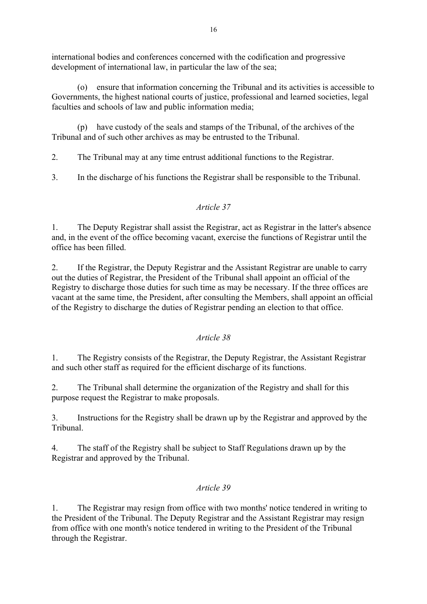international bodies and conferences concerned with the codification and progressive development of international law, in particular the law of the sea;

 (o) ensure that information concerning the Tribunal and its activities is accessible to Governments, the highest national courts of justice, professional and learned societies, legal faculties and schools of law and public information media;

 (p) have custody of the seals and stamps of the Tribunal, of the archives of the Tribunal and of such other archives as may be entrusted to the Tribunal.

2. The Tribunal may at any time entrust additional functions to the Registrar.

3. In the discharge of his functions the Registrar shall be responsible to the Tribunal.

# *Article 37*

1. The Deputy Registrar shall assist the Registrar, act as Registrar in the latter's absence and, in the event of the office becoming vacant, exercise the functions of Registrar until the office has been filled.

2. If the Registrar, the Deputy Registrar and the Assistant Registrar are unable to carry out the duties of Registrar, the President of the Tribunal shall appoint an official of the Registry to discharge those duties for such time as may be necessary. If the three offices are vacant at the same time, the President, after consulting the Members, shall appoint an official of the Registry to discharge the duties of Registrar pending an election to that office.

# *Article 38*

1. The Registry consists of the Registrar, the Deputy Registrar, the Assistant Registrar and such other staff as required for the efficient discharge of its functions.

2. The Tribunal shall determine the organization of the Registry and shall for this purpose request the Registrar to make proposals.

3. Instructions for the Registry shall be drawn up by the Registrar and approved by the Tribunal.

4. The staff of the Registry shall be subject to Staff Regulations drawn up by the Registrar and approved by the Tribunal.

# *Article 39*

1. The Registrar may resign from office with two months' notice tendered in writing to the President of the Tribunal. The Deputy Registrar and the Assistant Registrar may resign from office with one month's notice tendered in writing to the President of the Tribunal through the Registrar.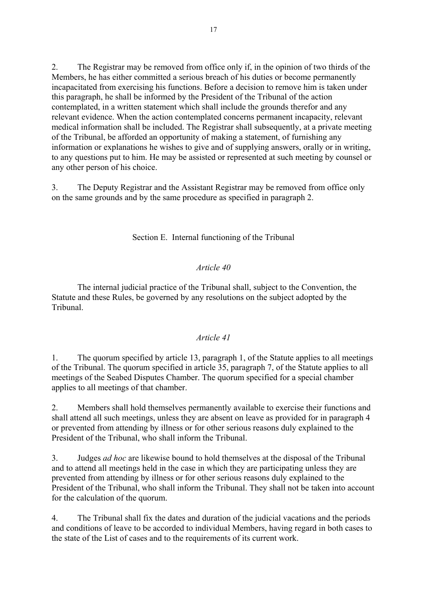2. The Registrar may be removed from office only if, in the opinion of two thirds of the Members, he has either committed a serious breach of his duties or become permanently incapacitated from exercising his functions. Before a decision to remove him is taken under this paragraph, he shall be informed by the President of the Tribunal of the action contemplated, in a written statement which shall include the grounds therefor and any relevant evidence. When the action contemplated concerns permanent incapacity, relevant medical information shall be included. The Registrar shall subsequently, at a private meeting of the Tribunal, be afforded an opportunity of making a statement, of furnishing any information or explanations he wishes to give and of supplying answers, orally or in writing, to any questions put to him. He may be assisted or represented at such meeting by counsel or any other person of his choice.

3. The Deputy Registrar and the Assistant Registrar may be removed from office only on the same grounds and by the same procedure as specified in paragraph 2.

Section E. Internal functioning of the Tribunal

### *Article 40*

 The internal judicial practice of the Tribunal shall, subject to the Convention, the Statute and these Rules, be governed by any resolutions on the subject adopted by the Tribunal.

#### *Article 41*

1. The quorum specified by article 13, paragraph 1, of the Statute applies to all meetings of the Tribunal. The quorum specified in article 35, paragraph 7, of the Statute applies to all meetings of the Seabed Disputes Chamber. The quorum specified for a special chamber applies to all meetings of that chamber.

2. Members shall hold themselves permanently available to exercise their functions and shall attend all such meetings, unless they are absent on leave as provided for in paragraph 4 or prevented from attending by illness or for other serious reasons duly explained to the President of the Tribunal, who shall inform the Tribunal.

3. Judges *ad hoc* are likewise bound to hold themselves at the disposal of the Tribunal and to attend all meetings held in the case in which they are participating unless they are prevented from attending by illness or for other serious reasons duly explained to the President of the Tribunal, who shall inform the Tribunal. They shall not be taken into account for the calculation of the quorum.

4. The Tribunal shall fix the dates and duration of the judicial vacations and the periods and conditions of leave to be accorded to individual Members, having regard in both cases to the state of the List of cases and to the requirements of its current work.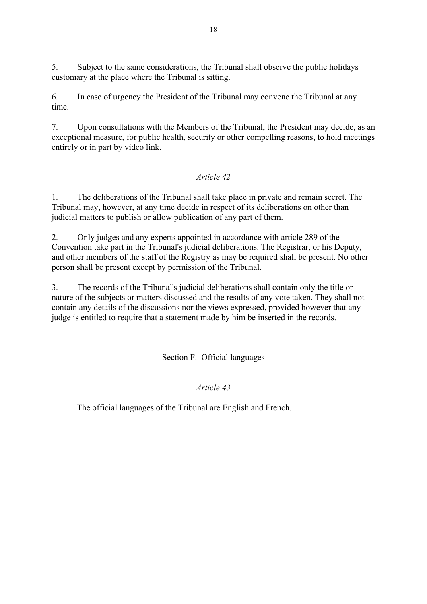5. Subject to the same considerations, the Tribunal shall observe the public holidays customary at the place where the Tribunal is sitting.

6. In case of urgency the President of the Tribunal may convene the Tribunal at any time.

7. Upon consultations with the Members of the Tribunal, the President may decide, as an exceptional measure, for public health, security or other compelling reasons, to hold meetings entirely or in part by video link.

# *Article 42*

1. The deliberations of the Tribunal shall take place in private and remain secret. The Tribunal may, however, at any time decide in respect of its deliberations on other than judicial matters to publish or allow publication of any part of them.

2. Only judges and any experts appointed in accordance with article 289 of the Convention take part in the Tribunal's judicial deliberations. The Registrar, or his Deputy, and other members of the staff of the Registry as may be required shall be present. No other person shall be present except by permission of the Tribunal.

3. The records of the Tribunal's judicial deliberations shall contain only the title or nature of the subjects or matters discussed and the results of any vote taken. They shall not contain any details of the discussions nor the views expressed, provided however that any judge is entitled to require that a statement made by him be inserted in the records.

### Section F. Official languages

### *Article 43*

The official languages of the Tribunal are English and French.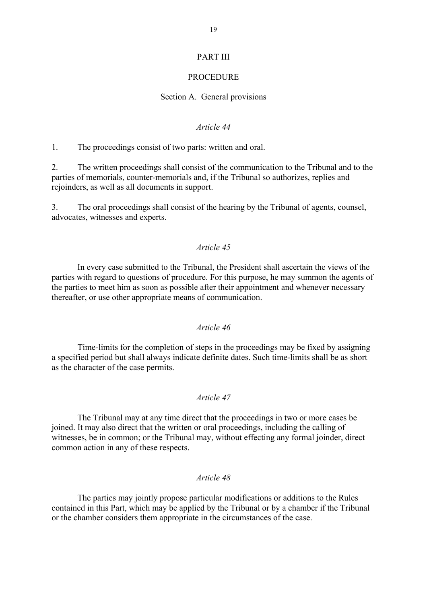#### PART III

#### **PROCEDURE**

#### Section A. General provisions

#### *Article 44*

1. The proceedings consist of two parts: written and oral.

2. The written proceedings shall consist of the communication to the Tribunal and to the parties of memorials, counter-memorials and, if the Tribunal so authorizes, replies and rejoinders, as well as all documents in support.

3. The oral proceedings shall consist of the hearing by the Tribunal of agents, counsel, advocates, witnesses and experts.

#### *Article 45*

 In every case submitted to the Tribunal, the President shall ascertain the views of the parties with regard to questions of procedure. For this purpose, he may summon the agents of the parties to meet him as soon as possible after their appointment and whenever necessary thereafter, or use other appropriate means of communication.

#### *Article 46*

 Time-limits for the completion of steps in the proceedings may be fixed by assigning a specified period but shall always indicate definite dates. Such time-limits shall be as short as the character of the case permits.

### *Article 47*

 The Tribunal may at any time direct that the proceedings in two or more cases be joined. It may also direct that the written or oral proceedings, including the calling of witnesses, be in common; or the Tribunal may, without effecting any formal joinder, direct common action in any of these respects.

#### *Article 48*

 The parties may jointly propose particular modifications or additions to the Rules contained in this Part, which may be applied by the Tribunal or by a chamber if the Tribunal or the chamber considers them appropriate in the circumstances of the case.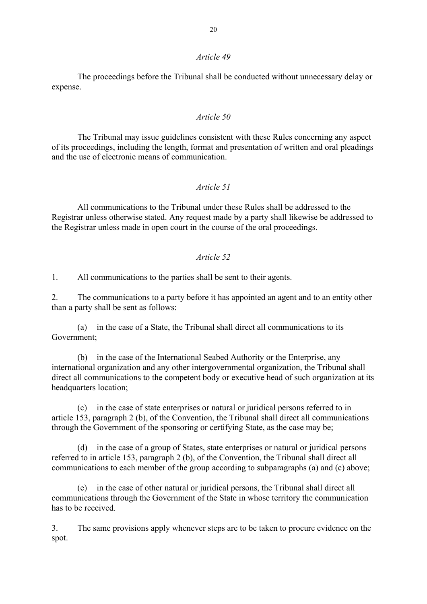#### *Article 49*

 The proceedings before the Tribunal shall be conducted without unnecessary delay or expense.

#### *Article 50*

 The Tribunal may issue guidelines consistent with these Rules concerning any aspect of its proceedings, including the length, format and presentation of written and oral pleadings and the use of electronic means of communication.

#### *Article 51*

 All communications to the Tribunal under these Rules shall be addressed to the Registrar unless otherwise stated. Any request made by a party shall likewise be addressed to the Registrar unless made in open court in the course of the oral proceedings.

#### *Article 52*

1. All communications to the parties shall be sent to their agents.

2. The communications to a party before it has appointed an agent and to an entity other than a party shall be sent as follows:

 (a) in the case of a State, the Tribunal shall direct all communications to its Government;

 (b) in the case of the International Seabed Authority or the Enterprise, any international organization and any other intergovernmental organization, the Tribunal shall direct all communications to the competent body or executive head of such organization at its headquarters location;

 (c) in the case of state enterprises or natural or juridical persons referred to in article 153, paragraph 2 (b), of the Convention, the Tribunal shall direct all communications through the Government of the sponsoring or certifying State, as the case may be;

in the case of a group of States, state enterprises or natural or juridical persons referred to in article 153, paragraph 2 (b), of the Convention, the Tribunal shall direct all communications to each member of the group according to subparagraphs (a) and (c) above;

 (e) in the case of other natural or juridical persons, the Tribunal shall direct all communications through the Government of the State in whose territory the communication has to be received.

3. The same provisions apply whenever steps are to be taken to procure evidence on the spot.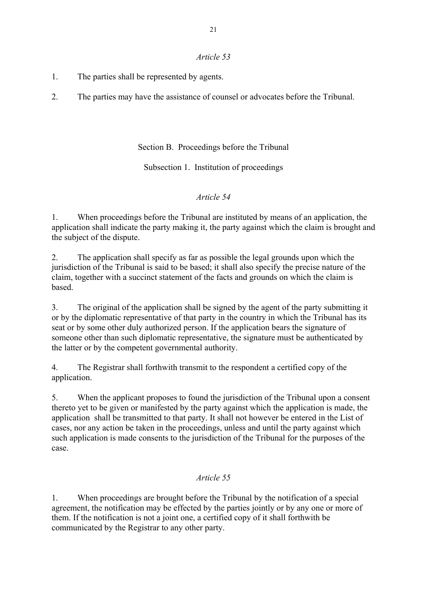### *Article 53*

1. The parties shall be represented by agents.

2. The parties may have the assistance of counsel or advocates before the Tribunal.

### Section B. Proceedings before the Tribunal

### Subsection 1. Institution of proceedings

# *Article 54*

1. When proceedings before the Tribunal are instituted by means of an application, the application shall indicate the party making it, the party against which the claim is brought and the subject of the dispute.

2. The application shall specify as far as possible the legal grounds upon which the jurisdiction of the Tribunal is said to be based; it shall also specify the precise nature of the claim, together with a succinct statement of the facts and grounds on which the claim is based.

3. The original of the application shall be signed by the agent of the party submitting it or by the diplomatic representative of that party in the country in which the Tribunal has its seat or by some other duly authorized person. If the application bears the signature of someone other than such diplomatic representative, the signature must be authenticated by the latter or by the competent governmental authority.

4. The Registrar shall forthwith transmit to the respondent a certified copy of the application.

5. When the applicant proposes to found the jurisdiction of the Tribunal upon a consent thereto yet to be given or manifested by the party against which the application is made, the application shall be transmitted to that party. It shall not however be entered in the List of cases, nor any action be taken in the proceedings, unless and until the party against which such application is made consents to the jurisdiction of the Tribunal for the purposes of the case.

### *Article 55*

1. When proceedings are brought before the Tribunal by the notification of a special agreement, the notification may be effected by the parties jointly or by any one or more of them. If the notification is not a joint one, a certified copy of it shall forthwith be communicated by the Registrar to any other party.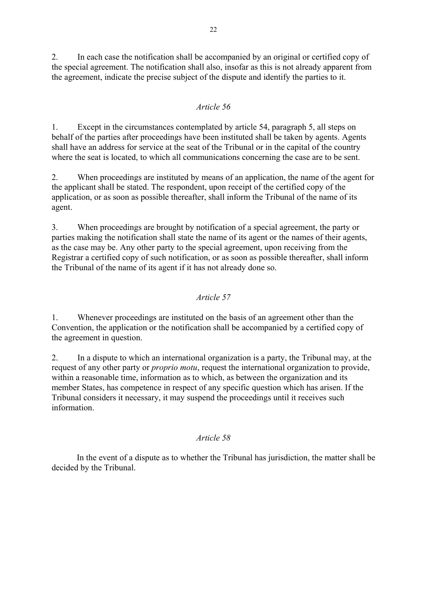2. In each case the notification shall be accompanied by an original or certified copy of the special agreement. The notification shall also, insofar as this is not already apparent from the agreement, indicate the precise subject of the dispute and identify the parties to it.

### *Article 56*

1. Except in the circumstances contemplated by article 54, paragraph 5, all steps on behalf of the parties after proceedings have been instituted shall be taken by agents. Agents shall have an address for service at the seat of the Tribunal or in the capital of the country where the seat is located, to which all communications concerning the case are to be sent.

2. When proceedings are instituted by means of an application, the name of the agent for the applicant shall be stated. The respondent, upon receipt of the certified copy of the application, or as soon as possible thereafter, shall inform the Tribunal of the name of its agent.

3. When proceedings are brought by notification of a special agreement, the party or parties making the notification shall state the name of its agent or the names of their agents, as the case may be. Any other party to the special agreement, upon receiving from the Registrar a certified copy of such notification, or as soon as possible thereafter, shall inform the Tribunal of the name of its agent if it has not already done so.

### *Article 57*

1. Whenever proceedings are instituted on the basis of an agreement other than the Convention, the application or the notification shall be accompanied by a certified copy of the agreement in question.

2. In a dispute to which an international organization is a party, the Tribunal may, at the request of any other party or *proprio motu*, request the international organization to provide, within a reasonable time, information as to which, as between the organization and its member States, has competence in respect of any specific question which has arisen. If the Tribunal considers it necessary, it may suspend the proceedings until it receives such information.

#### *Article 58*

 In the event of a dispute as to whether the Tribunal has jurisdiction, the matter shall be decided by the Tribunal.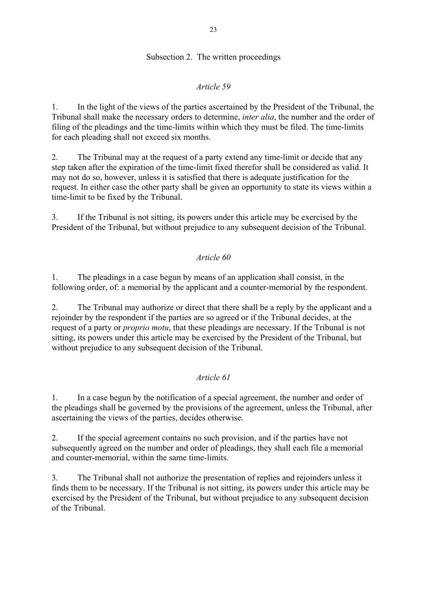### Subsection 2. The written proceedings

### *Article 59*

1. In the light of the views of the parties ascertained by the President of the Tribunal, the Tribunal shall make the necessary orders to determine, *inter alia*, the number and the order of filing of the pleadings and the time-limits within which they must be filed. The time-limits for each pleading shall not exceed six months.

2. The Tribunal may at the request of a party extend any time-limit or decide that any step taken after the expiration of the time-limit fixed therefor shall be considered as valid. It may not do so, however, unless it is satisfied that there is adequate justification for the request. In either case the other party shall be given an opportunity to state its views within a time-limit to be fixed by the Tribunal.

3. If the Tribunal is not sitting, its powers under this article may be exercised by the President of the Tribunal, but without prejudice to any subsequent decision of the Tribunal.

### *Article 60*

1. The pleadings in a case begun by means of an application shall consist, in the following order, of: a memorial by the applicant and a counter-memorial by the respondent.

2. The Tribunal may authorize or direct that there shall be a reply by the applicant and a rejoinder by the respondent if the parties are so agreed or if the Tribunal decides, at the request of a party or *proprio motu*, that these pleadings are necessary. If the Tribunal is not sitting, its powers under this article may be exercised by the President of the Tribunal, but without prejudice to any subsequent decision of the Tribunal.

### *Article 61*

1. In a case begun by the notification of a special agreement, the number and order of the pleadings shall be governed by the provisions of the agreement, unless the Tribunal, after ascertaining the views of the parties, decides otherwise.

2. If the special agreement contains no such provision, and if the parties have not subsequently agreed on the number and order of pleadings, they shall each file a memorial and counter-memorial, within the same time-limits.

3. The Tribunal shall not authorize the presentation of replies and rejoinders unless it finds them to be necessary. If the Tribunal is not sitting, its powers under this article may be exercised by the President of the Tribunal, but without prejudice to any subsequent decision of the Tribunal.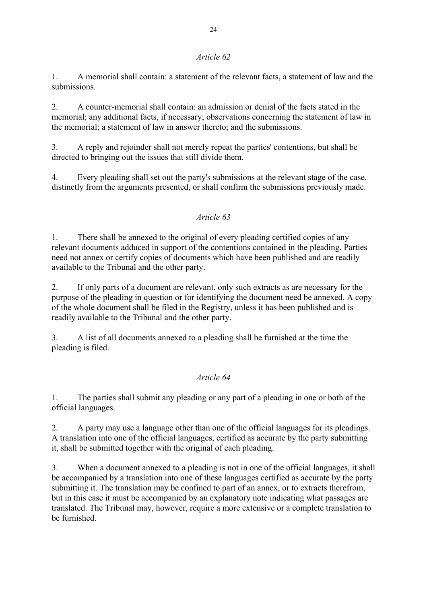### *Article 62*

1. A memorial shall contain: a statement of the relevant facts, a statement of law and the submissions.

2. A counter-memorial shall contain: an admission or denial of the facts stated in the memorial; any additional facts, if necessary; observations concerning the statement of law in the memorial; a statement of law in answer thereto; and the submissions.

3. A reply and rejoinder shall not merely repeat the parties' contentions, but shall be directed to bringing out the issues that still divide them.

4. Every pleading shall set out the party's submissions at the relevant stage of the case, distinctly from the arguments presented, or shall confirm the submissions previously made.

### *Article 63*

1. There shall be annexed to the original of every pleading certified copies of any relevant documents adduced in support of the contentions contained in the pleading. Parties need not annex or certify copies of documents which have been published and are readily available to the Tribunal and the other party.

2. If only parts of a document are relevant, only such extracts as are necessary for the purpose of the pleading in question or for identifying the document need be annexed. A copy of the whole document shall be filed in the Registry, unless it has been published and is readily available to the Tribunal and the other party.

3. A list of all documents annexed to a pleading shall be furnished at the time the pleading is filed.

#### *Article 64*

1. The parties shall submit any pleading or any part of a pleading in one or both of the official languages.

2. A party may use a language other than one of the official languages for its pleadings. A translation into one of the official languages, certified as accurate by the party submitting it, shall be submitted together with the original of each pleading.

3. When a document annexed to a pleading is not in one of the official languages, it shall be accompanied by a translation into one of these languages certified as accurate by the party submitting it. The translation may be confined to part of an annex, or to extracts therefrom, but in this case it must be accompanied by an explanatory note indicating what passages are translated. The Tribunal may, however, require a more extensive or a complete translation to be furnished.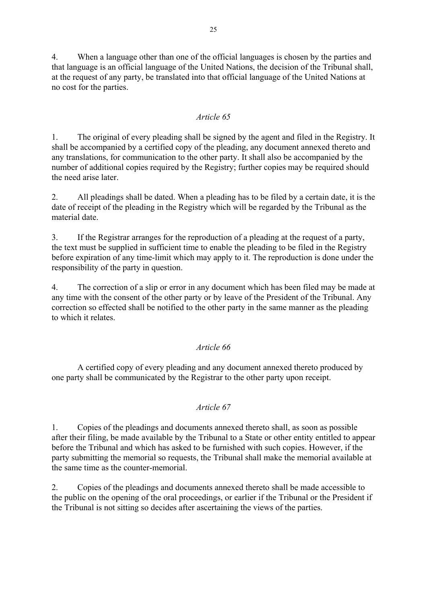4. When a language other than one of the official languages is chosen by the parties and that language is an official language of the United Nations, the decision of the Tribunal shall, at the request of any party, be translated into that official language of the United Nations at no cost for the parties.

#### *Article 65*

1. The original of every pleading shall be signed by the agent and filed in the Registry. It shall be accompanied by a certified copy of the pleading, any document annexed thereto and any translations, for communication to the other party. It shall also be accompanied by the number of additional copies required by the Registry; further copies may be required should the need arise later.

2. All pleadings shall be dated. When a pleading has to be filed by a certain date, it is the date of receipt of the pleading in the Registry which will be regarded by the Tribunal as the material date.

3. If the Registrar arranges for the reproduction of a pleading at the request of a party, the text must be supplied in sufficient time to enable the pleading to be filed in the Registry before expiration of any time-limit which may apply to it. The reproduction is done under the responsibility of the party in question.

4. The correction of a slip or error in any document which has been filed may be made at any time with the consent of the other party or by leave of the President of the Tribunal. Any correction so effected shall be notified to the other party in the same manner as the pleading to which it relates.

### *Article 66*

 A certified copy of every pleading and any document annexed thereto produced by one party shall be communicated by the Registrar to the other party upon receipt.

#### *Article 67*

1. Copies of the pleadings and documents annexed thereto shall, as soon as possible after their filing, be made available by the Tribunal to a State or other entity entitled to appear before the Tribunal and which has asked to be furnished with such copies. However, if the party submitting the memorial so requests, the Tribunal shall make the memorial available at the same time as the counter-memorial.

2. Copies of the pleadings and documents annexed thereto shall be made accessible to the public on the opening of the oral proceedings, or earlier if the Tribunal or the President if the Tribunal is not sitting so decides after ascertaining the views of the parties.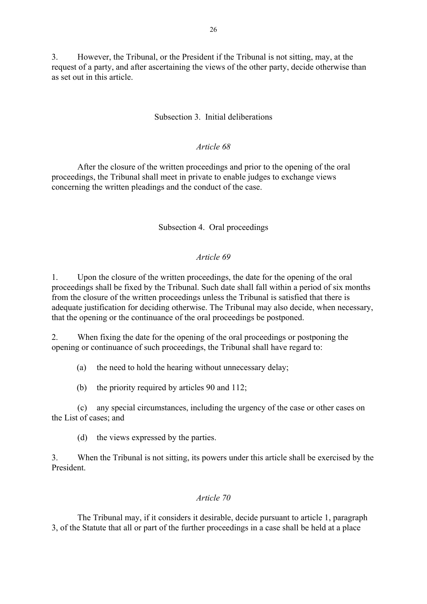3. However, the Tribunal, or the President if the Tribunal is not sitting, may, at the request of a party, and after ascertaining the views of the other party, decide otherwise than as set out in this article.

#### Subsection 3. Initial deliberations

#### *Article 68*

 After the closure of the written proceedings and prior to the opening of the oral proceedings, the Tribunal shall meet in private to enable judges to exchange views concerning the written pleadings and the conduct of the case.

#### Subsection 4. Oral proceedings

#### *Article 69*

1. Upon the closure of the written proceedings, the date for the opening of the oral proceedings shall be fixed by the Tribunal. Such date shall fall within a period of six months from the closure of the written proceedings unless the Tribunal is satisfied that there is adequate justification for deciding otherwise. The Tribunal may also decide, when necessary, that the opening or the continuance of the oral proceedings be postponed.

2. When fixing the date for the opening of the oral proceedings or postponing the opening or continuance of such proceedings, the Tribunal shall have regard to:

(a) the need to hold the hearing without unnecessary delay;

(b) the priority required by articles 90 and 112;

 (c) any special circumstances, including the urgency of the case or other cases on the List of cases; and

(d) the views expressed by the parties.

3. When the Tribunal is not sitting, its powers under this article shall be exercised by the President.

#### *Article 70*

 The Tribunal may, if it considers it desirable, decide pursuant to article 1, paragraph 3, of the Statute that all or part of the further proceedings in a case shall be held at a place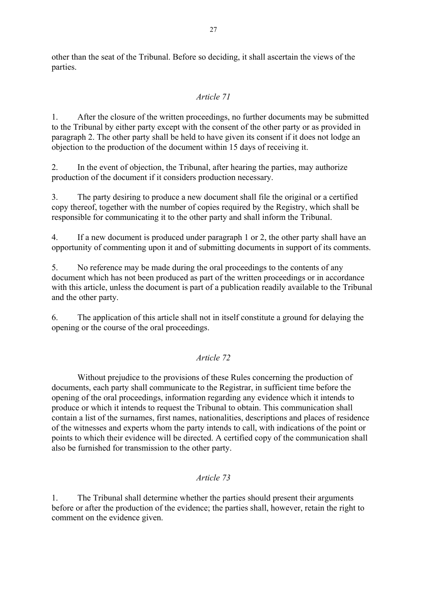other than the seat of the Tribunal. Before so deciding, it shall ascertain the views of the parties.

### *Article 71*

1. After the closure of the written proceedings, no further documents may be submitted to the Tribunal by either party except with the consent of the other party or as provided in paragraph 2. The other party shall be held to have given its consent if it does not lodge an objection to the production of the document within 15 days of receiving it.

2. In the event of objection, the Tribunal, after hearing the parties, may authorize production of the document if it considers production necessary.

3. The party desiring to produce a new document shall file the original or a certified copy thereof, together with the number of copies required by the Registry, which shall be responsible for communicating it to the other party and shall inform the Tribunal.

4. If a new document is produced under paragraph 1 or 2, the other party shall have an opportunity of commenting upon it and of submitting documents in support of its comments.

5. No reference may be made during the oral proceedings to the contents of any document which has not been produced as part of the written proceedings or in accordance with this article, unless the document is part of a publication readily available to the Tribunal and the other party.

6. The application of this article shall not in itself constitute a ground for delaying the opening or the course of the oral proceedings.

### *Article 72*

 Without prejudice to the provisions of these Rules concerning the production of documents, each party shall communicate to the Registrar, in sufficient time before the opening of the oral proceedings, information regarding any evidence which it intends to produce or which it intends to request the Tribunal to obtain. This communication shall contain a list of the surnames, first names, nationalities, descriptions and places of residence of the witnesses and experts whom the party intends to call, with indications of the point or points to which their evidence will be directed. A certified copy of the communication shall also be furnished for transmission to the other party.

### *Article 73*

1. The Tribunal shall determine whether the parties should present their arguments before or after the production of the evidence; the parties shall, however, retain the right to comment on the evidence given.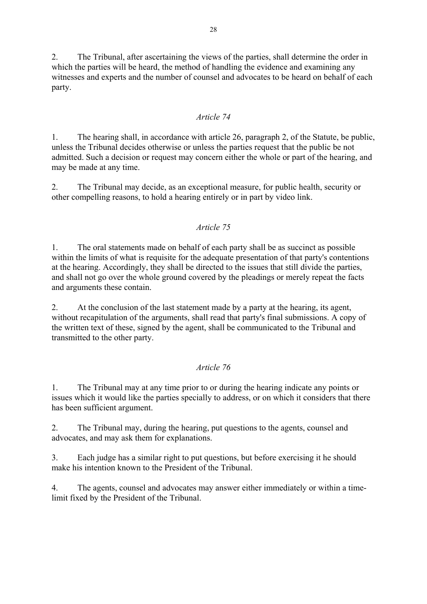2. The Tribunal, after ascertaining the views of the parties, shall determine the order in which the parties will be heard, the method of handling the evidence and examining any witnesses and experts and the number of counsel and advocates to be heard on behalf of each party.

# *Article 74*

1. The hearing shall, in accordance with article 26, paragraph 2, of the Statute, be public, unless the Tribunal decides otherwise or unless the parties request that the public be not admitted. Such a decision or request may concern either the whole or part of the hearing, and may be made at any time.

2. The Tribunal may decide, as an exceptional measure, for public health, security or other compelling reasons, to hold a hearing entirely or in part by video link.

### *Article 75*

1. The oral statements made on behalf of each party shall be as succinct as possible within the limits of what is requisite for the adequate presentation of that party's contentions at the hearing. Accordingly, they shall be directed to the issues that still divide the parties, and shall not go over the whole ground covered by the pleadings or merely repeat the facts and arguments these contain.

2. At the conclusion of the last statement made by a party at the hearing, its agent, without recapitulation of the arguments, shall read that party's final submissions. A copy of the written text of these, signed by the agent, shall be communicated to the Tribunal and transmitted to the other party.

### *Article 76*

1. The Tribunal may at any time prior to or during the hearing indicate any points or issues which it would like the parties specially to address, or on which it considers that there has been sufficient argument.

2. The Tribunal may, during the hearing, put questions to the agents, counsel and advocates, and may ask them for explanations.

3. Each judge has a similar right to put questions, but before exercising it he should make his intention known to the President of the Tribunal.

4. The agents, counsel and advocates may answer either immediately or within a timelimit fixed by the President of the Tribunal.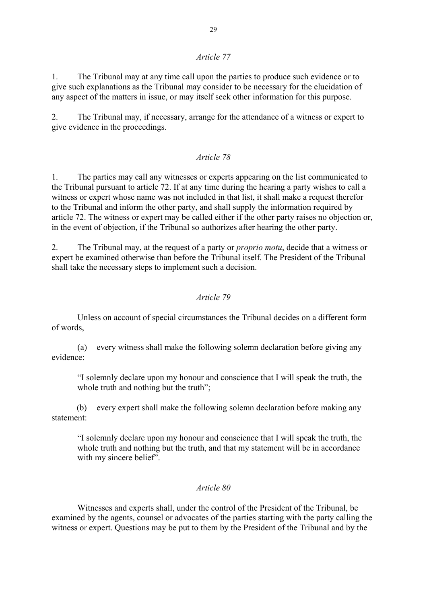#### *Article 77*

1. The Tribunal may at any time call upon the parties to produce such evidence or to give such explanations as the Tribunal may consider to be necessary for the elucidation of any aspect of the matters in issue, or may itself seek other information for this purpose.

2. The Tribunal may, if necessary, arrange for the attendance of a witness or expert to give evidence in the proceedings.

### *Article 78*

1. The parties may call any witnesses or experts appearing on the list communicated to the Tribunal pursuant to article 72. If at any time during the hearing a party wishes to call a witness or expert whose name was not included in that list, it shall make a request therefor to the Tribunal and inform the other party, and shall supply the information required by article 72. The witness or expert may be called either if the other party raises no objection or, in the event of objection, if the Tribunal so authorizes after hearing the other party.

2. The Tribunal may, at the request of a party or *proprio motu*, decide that a witness or expert be examined otherwise than before the Tribunal itself. The President of the Tribunal shall take the necessary steps to implement such a decision.

#### *Article 79*

 Unless on account of special circumstances the Tribunal decides on a different form of words,

 (a) every witness shall make the following solemn declaration before giving any evidence:

"I solemnly declare upon my honour and conscience that I will speak the truth, the whole truth and nothing but the truth";

 (b) every expert shall make the following solemn declaration before making any statement:

"I solemnly declare upon my honour and conscience that I will speak the truth, the whole truth and nothing but the truth, and that my statement will be in accordance with my sincere belief".

#### *Article 80*

 Witnesses and experts shall, under the control of the President of the Tribunal, be examined by the agents, counsel or advocates of the parties starting with the party calling the witness or expert. Questions may be put to them by the President of the Tribunal and by the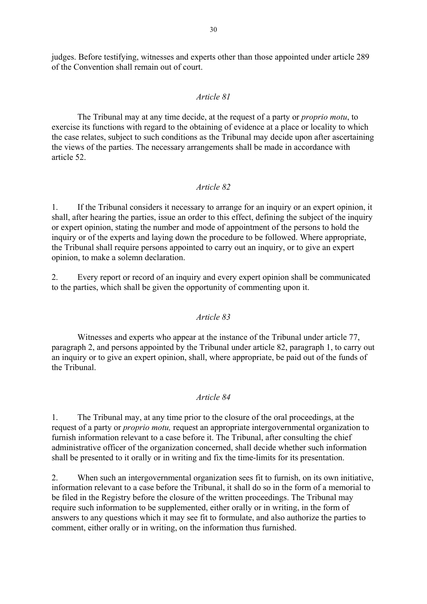judges. Before testifying, witnesses and experts other than those appointed under article 289 of the Convention shall remain out of court.

#### *Article 81*

 The Tribunal may at any time decide, at the request of a party or *proprio motu*, to exercise its functions with regard to the obtaining of evidence at a place or locality to which the case relates, subject to such conditions as the Tribunal may decide upon after ascertaining the views of the parties. The necessary arrangements shall be made in accordance with article 52.

#### *Article 82*

1. If the Tribunal considers it necessary to arrange for an inquiry or an expert opinion, it shall, after hearing the parties, issue an order to this effect, defining the subject of the inquiry or expert opinion, stating the number and mode of appointment of the persons to hold the inquiry or of the experts and laying down the procedure to be followed. Where appropriate, the Tribunal shall require persons appointed to carry out an inquiry, or to give an expert opinion, to make a solemn declaration.

2. Every report or record of an inquiry and every expert opinion shall be communicated to the parties, which shall be given the opportunity of commenting upon it.

#### *Article 83*

 Witnesses and experts who appear at the instance of the Tribunal under article 77, paragraph 2, and persons appointed by the Tribunal under article 82, paragraph 1, to carry out an inquiry or to give an expert opinion, shall, where appropriate, be paid out of the funds of the Tribunal.

### *Article 84*

1. The Tribunal may, at any time prior to the closure of the oral proceedings, at the request of a party or *proprio motu,* request an appropriate intergovernmental organization to furnish information relevant to a case before it. The Tribunal, after consulting the chief administrative officer of the organization concerned, shall decide whether such information shall be presented to it orally or in writing and fix the time-limits for its presentation.

2. When such an intergovernmental organization sees fit to furnish, on its own initiative, information relevant to a case before the Tribunal, it shall do so in the form of a memorial to be filed in the Registry before the closure of the written proceedings. The Tribunal may require such information to be supplemented, either orally or in writing, in the form of answers to any questions which it may see fit to formulate, and also authorize the parties to comment, either orally or in writing, on the information thus furnished.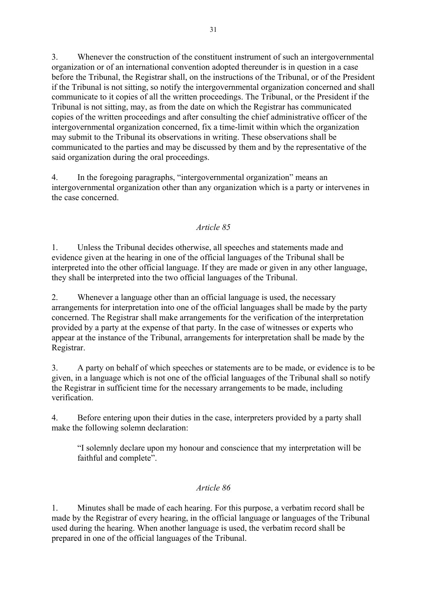3. Whenever the construction of the constituent instrument of such an intergovernmental organization or of an international convention adopted thereunder is in question in a case before the Tribunal, the Registrar shall, on the instructions of the Tribunal, or of the President if the Tribunal is not sitting, so notify the intergovernmental organization concerned and shall communicate to it copies of all the written proceedings. The Tribunal, or the President if the Tribunal is not sitting, may, as from the date on which the Registrar has communicated copies of the written proceedings and after consulting the chief administrative officer of the intergovernmental organization concerned, fix a time-limit within which the organization may submit to the Tribunal its observations in writing. These observations shall be communicated to the parties and may be discussed by them and by the representative of the said organization during the oral proceedings.

4. In the foregoing paragraphs, "intergovernmental organization" means an intergovernmental organization other than any organization which is a party or intervenes in the case concerned.

### *Article 85*

1. Unless the Tribunal decides otherwise, all speeches and statements made and evidence given at the hearing in one of the official languages of the Tribunal shall be interpreted into the other official language. If they are made or given in any other language, they shall be interpreted into the two official languages of the Tribunal.

2. Whenever a language other than an official language is used, the necessary arrangements for interpretation into one of the official languages shall be made by the party concerned. The Registrar shall make arrangements for the verification of the interpretation provided by a party at the expense of that party. In the case of witnesses or experts who appear at the instance of the Tribunal, arrangements for interpretation shall be made by the Registrar.

3. A party on behalf of which speeches or statements are to be made, or evidence is to be given, in a language which is not one of the official languages of the Tribunal shall so notify the Registrar in sufficient time for the necessary arrangements to be made, including verification.

4. Before entering upon their duties in the case, interpreters provided by a party shall make the following solemn declaration:

"I solemnly declare upon my honour and conscience that my interpretation will be faithful and complete".

#### *Article 86*

1. Minutes shall be made of each hearing. For this purpose, a verbatim record shall be made by the Registrar of every hearing, in the official language or languages of the Tribunal used during the hearing. When another language is used, the verbatim record shall be prepared in one of the official languages of the Tribunal.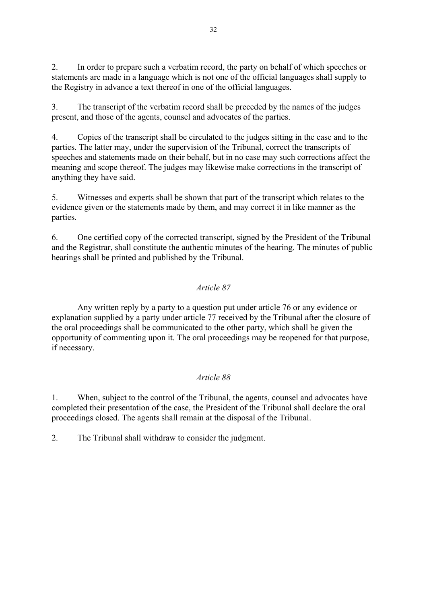2. In order to prepare such a verbatim record, the party on behalf of which speeches or statements are made in a language which is not one of the official languages shall supply to the Registry in advance a text thereof in one of the official languages.

3. The transcript of the verbatim record shall be preceded by the names of the judges present, and those of the agents, counsel and advocates of the parties.

4. Copies of the transcript shall be circulated to the judges sitting in the case and to the parties. The latter may, under the supervision of the Tribunal, correct the transcripts of speeches and statements made on their behalf, but in no case may such corrections affect the meaning and scope thereof. The judges may likewise make corrections in the transcript of anything they have said.

5. Witnesses and experts shall be shown that part of the transcript which relates to the evidence given or the statements made by them, and may correct it in like manner as the parties.

6. One certified copy of the corrected transcript, signed by the President of the Tribunal and the Registrar, shall constitute the authentic minutes of the hearing. The minutes of public hearings shall be printed and published by the Tribunal.

### *Article 87*

 Any written reply by a party to a question put under article 76 or any evidence or explanation supplied by a party under article 77 received by the Tribunal after the closure of the oral proceedings shall be communicated to the other party, which shall be given the opportunity of commenting upon it. The oral proceedings may be reopened for that purpose, if necessary.

### *Article 88*

1. When, subject to the control of the Tribunal, the agents, counsel and advocates have completed their presentation of the case, the President of the Tribunal shall declare the oral proceedings closed. The agents shall remain at the disposal of the Tribunal.

2. The Tribunal shall withdraw to consider the judgment.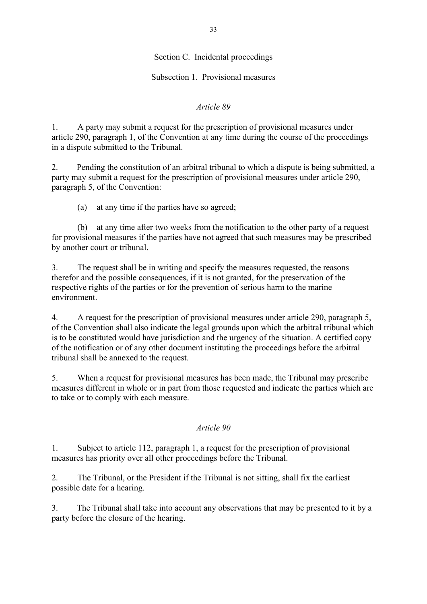### Section C. Incidental proceedings

Subsection 1. Provisional measures

### *Article 89*

1. A party may submit a request for the prescription of provisional measures under article 290, paragraph 1, of the Convention at any time during the course of the proceedings in a dispute submitted to the Tribunal.

2. Pending the constitution of an arbitral tribunal to which a dispute is being submitted, a party may submit a request for the prescription of provisional measures under article 290, paragraph 5, of the Convention:

(a) at any time if the parties have so agreed;

 (b) at any time after two weeks from the notification to the other party of a request for provisional measures if the parties have not agreed that such measures may be prescribed by another court or tribunal.

3. The request shall be in writing and specify the measures requested, the reasons therefor and the possible consequences, if it is not granted, for the preservation of the respective rights of the parties or for the prevention of serious harm to the marine environment.

4. A request for the prescription of provisional measures under article 290, paragraph 5, of the Convention shall also indicate the legal grounds upon which the arbitral tribunal which is to be constituted would have jurisdiction and the urgency of the situation. A certified copy of the notification or of any other document instituting the proceedings before the arbitral tribunal shall be annexed to the request.

5. When a request for provisional measures has been made, the Tribunal may prescribe measures different in whole or in part from those requested and indicate the parties which are to take or to comply with each measure.

### *Article 90*

1. Subject to article 112, paragraph 1, a request for the prescription of provisional measures has priority over all other proceedings before the Tribunal.

2. The Tribunal, or the President if the Tribunal is not sitting, shall fix the earliest possible date for a hearing.

3. The Tribunal shall take into account any observations that may be presented to it by a party before the closure of the hearing.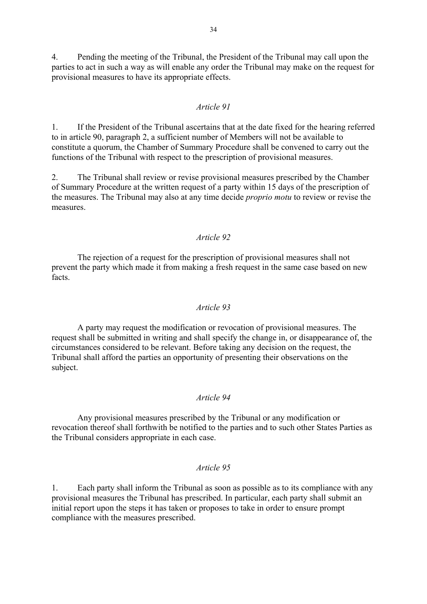4. Pending the meeting of the Tribunal, the President of the Tribunal may call upon the parties to act in such a way as will enable any order the Tribunal may make on the request for provisional measures to have its appropriate effects.

#### *Article 91*

1. If the President of the Tribunal ascertains that at the date fixed for the hearing referred to in article 90, paragraph 2, a sufficient number of Members will not be available to constitute a quorum, the Chamber of Summary Procedure shall be convened to carry out the functions of the Tribunal with respect to the prescription of provisional measures.

2. The Tribunal shall review or revise provisional measures prescribed by the Chamber of Summary Procedure at the written request of a party within 15 days of the prescription of the measures. The Tribunal may also at any time decide *proprio motu* to review or revise the measures.

#### *Article 92*

 The rejection of a request for the prescription of provisional measures shall not prevent the party which made it from making a fresh request in the same case based on new facts.

#### *Article 93*

 A party may request the modification or revocation of provisional measures. The request shall be submitted in writing and shall specify the change in, or disappearance of, the circumstances considered to be relevant. Before taking any decision on the request, the Tribunal shall afford the parties an opportunity of presenting their observations on the subject.

### *Article 94*

 Any provisional measures prescribed by the Tribunal or any modification or revocation thereof shall forthwith be notified to the parties and to such other States Parties as the Tribunal considers appropriate in each case.

#### *Article 95*

1. Each party shall inform the Tribunal as soon as possible as to its compliance with any provisional measures the Tribunal has prescribed. In particular, each party shall submit an initial report upon the steps it has taken or proposes to take in order to ensure prompt compliance with the measures prescribed.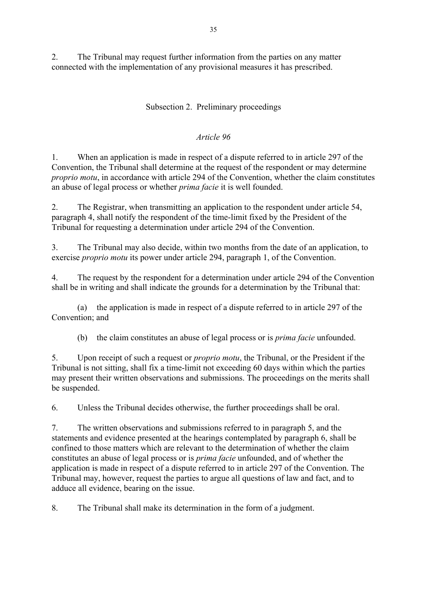# Subsection 2. Preliminary proceedings

# *Article 96*

1. When an application is made in respect of a dispute referred to in article 297 of the Convention, the Tribunal shall determine at the request of the respondent or may determine *proprio motu*, in accordance with article 294 of the Convention, whether the claim constitutes an abuse of legal process or whether *prima facie* it is well founded.

2. The Registrar, when transmitting an application to the respondent under article 54, paragraph 4, shall notify the respondent of the time-limit fixed by the President of the Tribunal for requesting a determination under article 294 of the Convention.

3. The Tribunal may also decide, within two months from the date of an application, to exercise *proprio motu* its power under article 294, paragraph 1, of the Convention.

4. The request by the respondent for a determination under article 294 of the Convention shall be in writing and shall indicate the grounds for a determination by the Tribunal that:

 (a) the application is made in respect of a dispute referred to in article 297 of the Convention; and

(b) the claim constitutes an abuse of legal process or is *prima facie* unfounded.

5. Upon receipt of such a request or *proprio motu*, the Tribunal, or the President if the Tribunal is not sitting, shall fix a time-limit not exceeding 60 days within which the parties may present their written observations and submissions. The proceedings on the merits shall be suspended.

6. Unless the Tribunal decides otherwise, the further proceedings shall be oral.

7. The written observations and submissions referred to in paragraph 5, and the statements and evidence presented at the hearings contemplated by paragraph 6, shall be confined to those matters which are relevant to the determination of whether the claim constitutes an abuse of legal process or is *prima facie* unfounded, and of whether the application is made in respect of a dispute referred to in article 297 of the Convention. The Tribunal may, however, request the parties to argue all questions of law and fact, and to adduce all evidence, bearing on the issue.

8. The Tribunal shall make its determination in the form of a judgment.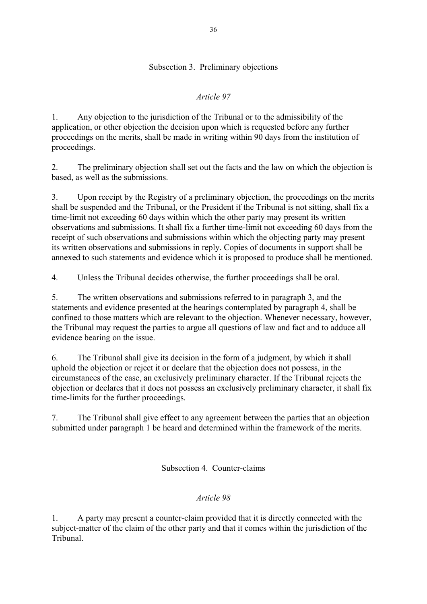# Subsection 3. Preliminary objections

### *Article 97*

1. Any objection to the jurisdiction of the Tribunal or to the admissibility of the application, or other objection the decision upon which is requested before any further proceedings on the merits, shall be made in writing within 90 days from the institution of proceedings.

2. The preliminary objection shall set out the facts and the law on which the objection is based, as well as the submissions.

3. Upon receipt by the Registry of a preliminary objection, the proceedings on the merits shall be suspended and the Tribunal, or the President if the Tribunal is not sitting, shall fix a time-limit not exceeding 60 days within which the other party may present its written observations and submissions. It shall fix a further time-limit not exceeding 60 days from the receipt of such observations and submissions within which the objecting party may present its written observations and submissions in reply. Copies of documents in support shall be annexed to such statements and evidence which it is proposed to produce shall be mentioned.

4. Unless the Tribunal decides otherwise, the further proceedings shall be oral.

5. The written observations and submissions referred to in paragraph 3, and the statements and evidence presented at the hearings contemplated by paragraph 4, shall be confined to those matters which are relevant to the objection. Whenever necessary, however, the Tribunal may request the parties to argue all questions of law and fact and to adduce all evidence bearing on the issue.

6. The Tribunal shall give its decision in the form of a judgment, by which it shall uphold the objection or reject it or declare that the objection does not possess, in the circumstances of the case, an exclusively preliminary character. If the Tribunal rejects the objection or declares that it does not possess an exclusively preliminary character, it shall fix time-limits for the further proceedings.

7. The Tribunal shall give effect to any agreement between the parties that an objection submitted under paragraph 1 be heard and determined within the framework of the merits.

Subsection 4. Counter-claims

### *Article 98*

1. A party may present a counter-claim provided that it is directly connected with the subject-matter of the claim of the other party and that it comes within the jurisdiction of the Tribunal.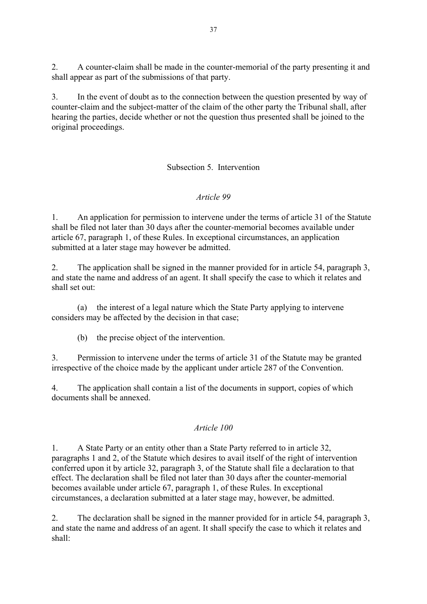2. A counter-claim shall be made in the counter-memorial of the party presenting it and shall appear as part of the submissions of that party.

3. In the event of doubt as to the connection between the question presented by way of counter-claim and the subject-matter of the claim of the other party the Tribunal shall, after hearing the parties, decide whether or not the question thus presented shall be joined to the original proceedings.

### Subsection 5. Intervention

### *Article 99*

1. An application for permission to intervene under the terms of article 31 of the Statute shall be filed not later than 30 days after the counter-memorial becomes available under article 67, paragraph 1, of these Rules. In exceptional circumstances, an application submitted at a later stage may however be admitted.

2. The application shall be signed in the manner provided for in article 54, paragraph 3, and state the name and address of an agent. It shall specify the case to which it relates and shall set out:

 (a) the interest of a legal nature which the State Party applying to intervene considers may be affected by the decision in that case;

(b) the precise object of the intervention.

3. Permission to intervene under the terms of article 31 of the Statute may be granted irrespective of the choice made by the applicant under article 287 of the Convention.

4. The application shall contain a list of the documents in support, copies of which documents shall be annexed.

### *Article 100*

1. A State Party or an entity other than a State Party referred to in article 32, paragraphs 1 and 2, of the Statute which desires to avail itself of the right of intervention conferred upon it by article 32, paragraph 3, of the Statute shall file a declaration to that effect. The declaration shall be filed not later than 30 days after the counter-memorial becomes available under article 67, paragraph 1, of these Rules. In exceptional circumstances, a declaration submitted at a later stage may, however, be admitted.

2. The declaration shall be signed in the manner provided for in article 54, paragraph 3, and state the name and address of an agent. It shall specify the case to which it relates and shall: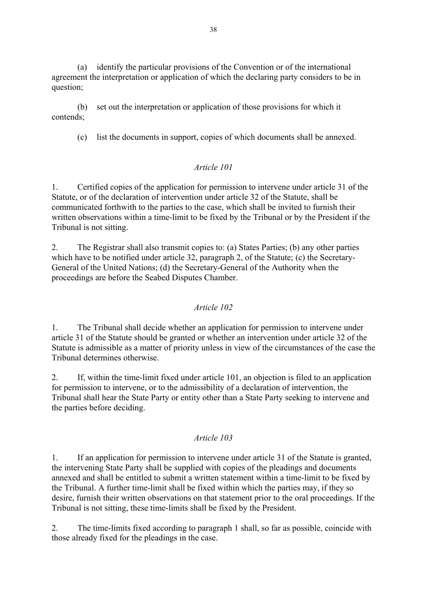(a) identify the particular provisions of the Convention or of the international agreement the interpretation or application of which the declaring party considers to be in question;

 (b) set out the interpretation or application of those provisions for which it contends;

(c) list the documents in support, copies of which documents shall be annexed.

#### *Article 101*

1. Certified copies of the application for permission to intervene under article 31 of the Statute, or of the declaration of intervention under article 32 of the Statute, shall be communicated forthwith to the parties to the case, which shall be invited to furnish their written observations within a time-limit to be fixed by the Tribunal or by the President if the Tribunal is not sitting.

2. The Registrar shall also transmit copies to: (a) States Parties; (b) any other parties which have to be notified under article 32, paragraph 2, of the Statute; (c) the Secretary-General of the United Nations; (d) the Secretary-General of the Authority when the proceedings are before the Seabed Disputes Chamber.

### *Article 102*

1. The Tribunal shall decide whether an application for permission to intervene under article 31 of the Statute should be granted or whether an intervention under article 32 of the Statute is admissible as a matter of priority unless in view of the circumstances of the case the Tribunal determines otherwise.

2. If, within the time-limit fixed under article 101, an objection is filed to an application for permission to intervene, or to the admissibility of a declaration of intervention, the Tribunal shall hear the State Party or entity other than a State Party seeking to intervene and the parties before deciding.

#### *Article 103*

1. If an application for permission to intervene under article 31 of the Statute is granted, the intervening State Party shall be supplied with copies of the pleadings and documents annexed and shall be entitled to submit a written statement within a time-limit to be fixed by the Tribunal. A further time-limit shall be fixed within which the parties may, if they so desire, furnish their written observations on that statement prior to the oral proceedings. If the Tribunal is not sitting, these time-limits shall be fixed by the President.

2. The time-limits fixed according to paragraph 1 shall, so far as possible, coincide with those already fixed for the pleadings in the case.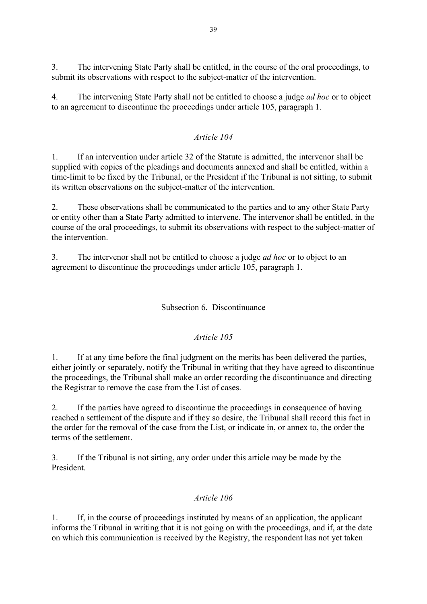3. The intervening State Party shall be entitled, in the course of the oral proceedings, to submit its observations with respect to the subject-matter of the intervention.

4. The intervening State Party shall not be entitled to choose a judge *ad hoc* or to object to an agreement to discontinue the proceedings under article 105, paragraph 1.

# *Article 104*

1. If an intervention under article 32 of the Statute is admitted, the intervenor shall be supplied with copies of the pleadings and documents annexed and shall be entitled, within a time-limit to be fixed by the Tribunal, or the President if the Tribunal is not sitting, to submit its written observations on the subject-matter of the intervention.

2. These observations shall be communicated to the parties and to any other State Party or entity other than a State Party admitted to intervene. The intervenor shall be entitled, in the course of the oral proceedings, to submit its observations with respect to the subject-matter of the intervention.

3. The intervenor shall not be entitled to choose a judge *ad hoc* or to object to an agreement to discontinue the proceedings under article 105, paragraph 1.

### Subsection 6. Discontinuance

### *Article 105*

1. If at any time before the final judgment on the merits has been delivered the parties, either jointly or separately, notify the Tribunal in writing that they have agreed to discontinue the proceedings, the Tribunal shall make an order recording the discontinuance and directing the Registrar to remove the case from the List of cases.

2. If the parties have agreed to discontinue the proceedings in consequence of having reached a settlement of the dispute and if they so desire, the Tribunal shall record this fact in the order for the removal of the case from the List, or indicate in, or annex to, the order the terms of the settlement.

3. If the Tribunal is not sitting, any order under this article may be made by the President.

### *Article 106*

1. If, in the course of proceedings instituted by means of an application, the applicant informs the Tribunal in writing that it is not going on with the proceedings, and if, at the date on which this communication is received by the Registry, the respondent has not yet taken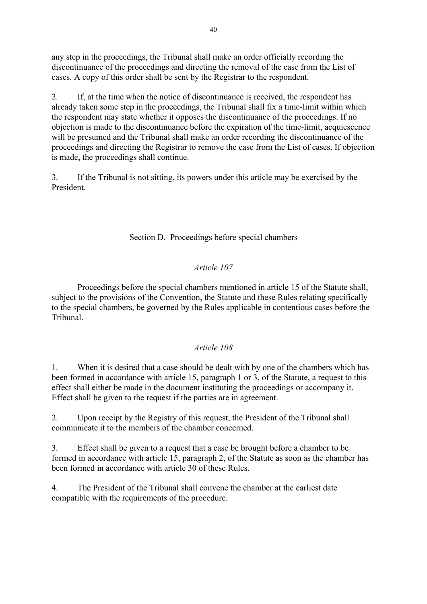any step in the proceedings, the Tribunal shall make an order officially recording the discontinuance of the proceedings and directing the removal of the case from the List of cases. A copy of this order shall be sent by the Registrar to the respondent.

2. If, at the time when the notice of discontinuance is received, the respondent has already taken some step in the proceedings, the Tribunal shall fix a time-limit within which the respondent may state whether it opposes the discontinuance of the proceedings. If no objection is made to the discontinuance before the expiration of the time-limit, acquiescence will be presumed and the Tribunal shall make an order recording the discontinuance of the proceedings and directing the Registrar to remove the case from the List of cases. If objection is made, the proceedings shall continue.

3. If the Tribunal is not sitting, its powers under this article may be exercised by the President.

Section D. Proceedings before special chambers

# *Article 107*

 Proceedings before the special chambers mentioned in article 15 of the Statute shall, subject to the provisions of the Convention, the Statute and these Rules relating specifically to the special chambers, be governed by the Rules applicable in contentious cases before the Tribunal.

### *Article 108*

1. When it is desired that a case should be dealt with by one of the chambers which has been formed in accordance with article 15, paragraph 1 or 3, of the Statute, a request to this effect shall either be made in the document instituting the proceedings or accompany it. Effect shall be given to the request if the parties are in agreement.

2. Upon receipt by the Registry of this request, the President of the Tribunal shall communicate it to the members of the chamber concerned.

3. Effect shall be given to a request that a case be brought before a chamber to be formed in accordance with article 15, paragraph 2, of the Statute as soon as the chamber has been formed in accordance with article 30 of these Rules.

4. The President of the Tribunal shall convene the chamber at the earliest date compatible with the requirements of the procedure.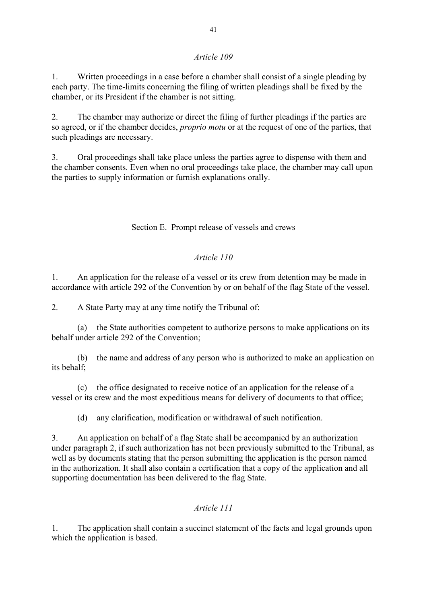### *Article 109*

1. Written proceedings in a case before a chamber shall consist of a single pleading by each party. The time-limits concerning the filing of written pleadings shall be fixed by the chamber, or its President if the chamber is not sitting.

2. The chamber may authorize or direct the filing of further pleadings if the parties are so agreed, or if the chamber decides, *proprio motu* or at the request of one of the parties, that such pleadings are necessary.

3. Oral proceedings shall take place unless the parties agree to dispense with them and the chamber consents. Even when no oral proceedings take place, the chamber may call upon the parties to supply information or furnish explanations orally.

Section E. Prompt release of vessels and crews

# *Article 110*

1. An application for the release of a vessel or its crew from detention may be made in accordance with article 292 of the Convention by or on behalf of the flag State of the vessel.

2. A State Party may at any time notify the Tribunal of:

 (a) the State authorities competent to authorize persons to make applications on its behalf under article 292 of the Convention;

 (b) the name and address of any person who is authorized to make an application on its behalf;

 (c) the office designated to receive notice of an application for the release of a vessel or its crew and the most expeditious means for delivery of documents to that office;

(d) any clarification, modification or withdrawal of such notification.

3. An application on behalf of a flag State shall be accompanied by an authorization under paragraph 2, if such authorization has not been previously submitted to the Tribunal, as well as by documents stating that the person submitting the application is the person named in the authorization. It shall also contain a certification that a copy of the application and all supporting documentation has been delivered to the flag State.

# *Article 111*

1. The application shall contain a succinct statement of the facts and legal grounds upon which the application is based.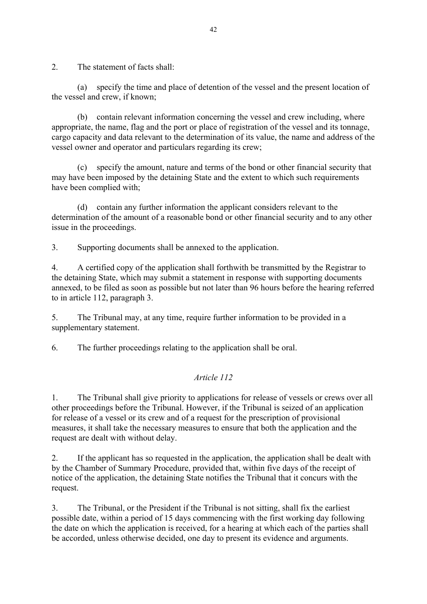2. The statement of facts shall:

 (a) specify the time and place of detention of the vessel and the present location of the vessel and crew, if known;

 (b) contain relevant information concerning the vessel and crew including, where appropriate, the name, flag and the port or place of registration of the vessel and its tonnage, cargo capacity and data relevant to the determination of its value, the name and address of the vessel owner and operator and particulars regarding its crew;

 (c) specify the amount, nature and terms of the bond or other financial security that may have been imposed by the detaining State and the extent to which such requirements have been complied with;

 (d) contain any further information the applicant considers relevant to the determination of the amount of a reasonable bond or other financial security and to any other issue in the proceedings.

3. Supporting documents shall be annexed to the application.

4. A certified copy of the application shall forthwith be transmitted by the Registrar to the detaining State, which may submit a statement in response with supporting documents annexed, to be filed as soon as possible but not later than 96 hours before the hearing referred to in article 112, paragraph 3.

5. The Tribunal may, at any time, require further information to be provided in a supplementary statement.

6. The further proceedings relating to the application shall be oral.

### *Article 112*

1. The Tribunal shall give priority to applications for release of vessels or crews over all other proceedings before the Tribunal. However, if the Tribunal is seized of an application for release of a vessel or its crew and of a request for the prescription of provisional measures, it shall take the necessary measures to ensure that both the application and the request are dealt with without delay.

2. If the applicant has so requested in the application, the application shall be dealt with by the Chamber of Summary Procedure, provided that, within five days of the receipt of notice of the application, the detaining State notifies the Tribunal that it concurs with the request.

3. The Tribunal, or the President if the Tribunal is not sitting, shall fix the earliest possible date, within a period of 15 days commencing with the first working day following the date on which the application is received, for a hearing at which each of the parties shall be accorded, unless otherwise decided, one day to present its evidence and arguments.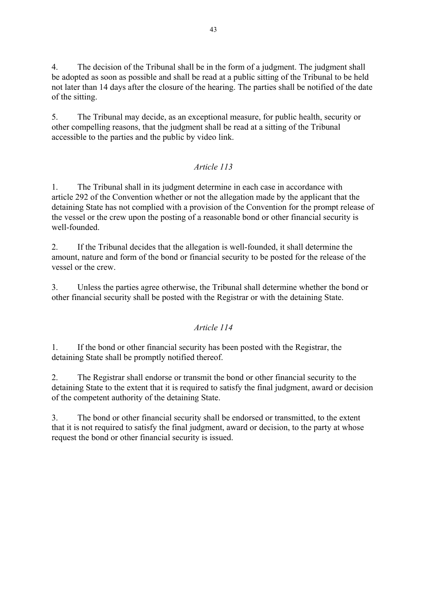4. The decision of the Tribunal shall be in the form of a judgment. The judgment shall be adopted as soon as possible and shall be read at a public sitting of the Tribunal to be held not later than 14 days after the closure of the hearing. The parties shall be notified of the date of the sitting.

5. The Tribunal may decide, as an exceptional measure, for public health, security or other compelling reasons, that the judgment shall be read at a sitting of the Tribunal accessible to the parties and the public by video link.

### *Article 113*

1. The Tribunal shall in its judgment determine in each case in accordance with article 292 of the Convention whether or not the allegation made by the applicant that the detaining State has not complied with a provision of the Convention for the prompt release of the vessel or the crew upon the posting of a reasonable bond or other financial security is well-founded.

2. If the Tribunal decides that the allegation is well-founded, it shall determine the amount, nature and form of the bond or financial security to be posted for the release of the vessel or the crew.

3. Unless the parties agree otherwise, the Tribunal shall determine whether the bond or other financial security shall be posted with the Registrar or with the detaining State.

### *Article 114*

1. If the bond or other financial security has been posted with the Registrar, the detaining State shall be promptly notified thereof.

2. The Registrar shall endorse or transmit the bond or other financial security to the detaining State to the extent that it is required to satisfy the final judgment, award or decision of the competent authority of the detaining State.

3. The bond or other financial security shall be endorsed or transmitted, to the extent that it is not required to satisfy the final judgment, award or decision, to the party at whose request the bond or other financial security is issued.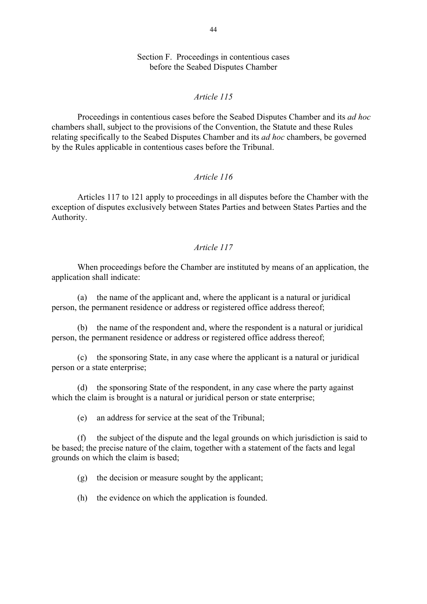#### Section F. Proceedings in contentious cases before the Seabed Disputes Chamber

#### *Article 115*

 Proceedings in contentious cases before the Seabed Disputes Chamber and its *ad hoc* chambers shall, subject to the provisions of the Convention, the Statute and these Rules relating specifically to the Seabed Disputes Chamber and its *ad hoc* chambers, be governed by the Rules applicable in contentious cases before the Tribunal.

#### *Article 116*

 Articles 117 to 121 apply to proceedings in all disputes before the Chamber with the exception of disputes exclusively between States Parties and between States Parties and the Authority.

#### *Article 117*

 When proceedings before the Chamber are instituted by means of an application, the application shall indicate:

 (a) the name of the applicant and, where the applicant is a natural or juridical person, the permanent residence or address or registered office address thereof;

 (b) the name of the respondent and, where the respondent is a natural or juridical person, the permanent residence or address or registered office address thereof;

 (c) the sponsoring State, in any case where the applicant is a natural or juridical person or a state enterprise;

 (d) the sponsoring State of the respondent, in any case where the party against which the claim is brought is a natural or juridical person or state enterprise;

(e) an address for service at the seat of the Tribunal;

 (f) the subject of the dispute and the legal grounds on which jurisdiction is said to be based; the precise nature of the claim, together with a statement of the facts and legal grounds on which the claim is based;

(g) the decision or measure sought by the applicant;

(h) the evidence on which the application is founded.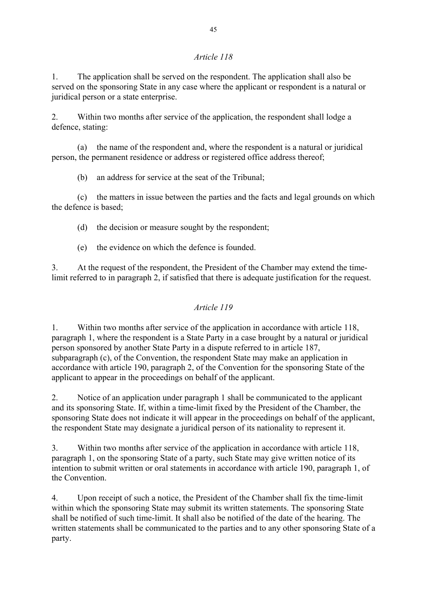### *Article 118*

1. The application shall be served on the respondent. The application shall also be served on the sponsoring State in any case where the applicant or respondent is a natural or juridical person or a state enterprise.

2. Within two months after service of the application, the respondent shall lodge a defence, stating:

 (a) the name of the respondent and, where the respondent is a natural or juridical person, the permanent residence or address or registered office address thereof;

(b) an address for service at the seat of the Tribunal;

 (c) the matters in issue between the parties and the facts and legal grounds on which the defence is based;

(d) the decision or measure sought by the respondent;

(e) the evidence on which the defence is founded.

3. At the request of the respondent, the President of the Chamber may extend the timelimit referred to in paragraph 2, if satisfied that there is adequate justification for the request.

# *Article 119*

1. Within two months after service of the application in accordance with article 118, paragraph 1, where the respondent is a State Party in a case brought by a natural or juridical person sponsored by another State Party in a dispute referred to in article 187, subparagraph (c), of the Convention, the respondent State may make an application in accordance with article 190, paragraph 2, of the Convention for the sponsoring State of the applicant to appear in the proceedings on behalf of the applicant.

2. Notice of an application under paragraph 1 shall be communicated to the applicant and its sponsoring State. If, within a time-limit fixed by the President of the Chamber, the sponsoring State does not indicate it will appear in the proceedings on behalf of the applicant, the respondent State may designate a juridical person of its nationality to represent it.

3. Within two months after service of the application in accordance with article 118, paragraph 1, on the sponsoring State of a party, such State may give written notice of its intention to submit written or oral statements in accordance with article 190, paragraph 1, of the Convention.

4. Upon receipt of such a notice, the President of the Chamber shall fix the time-limit within which the sponsoring State may submit its written statements. The sponsoring State shall be notified of such time-limit. It shall also be notified of the date of the hearing. The written statements shall be communicated to the parties and to any other sponsoring State of a party.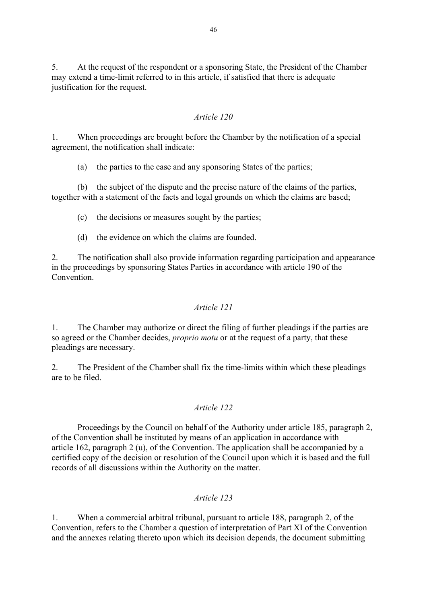5. At the request of the respondent or a sponsoring State, the President of the Chamber may extend a time-limit referred to in this article, if satisfied that there is adequate justification for the request.

#### *Article 120*

1. When proceedings are brought before the Chamber by the notification of a special agreement, the notification shall indicate:

(a) the parties to the case and any sponsoring States of the parties;

 (b) the subject of the dispute and the precise nature of the claims of the parties, together with a statement of the facts and legal grounds on which the claims are based;

(c) the decisions or measures sought by the parties;

(d) the evidence on which the claims are founded.

2. The notification shall also provide information regarding participation and appearance in the proceedings by sponsoring States Parties in accordance with article 190 of the Convention.

#### *Article 121*

1. The Chamber may authorize or direct the filing of further pleadings if the parties are so agreed or the Chamber decides, *proprio motu* or at the request of a party, that these pleadings are necessary.

2. The President of the Chamber shall fix the time-limits within which these pleadings are to be filed.

### *Article 122*

 Proceedings by the Council on behalf of the Authority under article 185, paragraph 2, of the Convention shall be instituted by means of an application in accordance with article 162, paragraph 2 (u), of the Convention. The application shall be accompanied by a certified copy of the decision or resolution of the Council upon which it is based and the full records of all discussions within the Authority on the matter.

### *Article 123*

1. When a commercial arbitral tribunal, pursuant to article 188, paragraph 2, of the Convention, refers to the Chamber a question of interpretation of Part XI of the Convention and the annexes relating thereto upon which its decision depends, the document submitting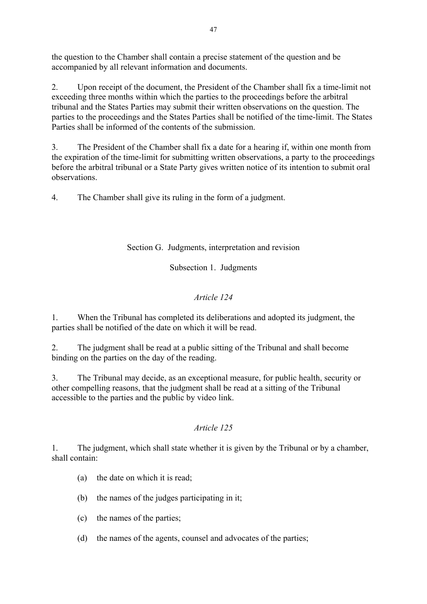the question to the Chamber shall contain a precise statement of the question and be accompanied by all relevant information and documents.

2. Upon receipt of the document, the President of the Chamber shall fix a time-limit not exceeding three months within which the parties to the proceedings before the arbitral tribunal and the States Parties may submit their written observations on the question. The parties to the proceedings and the States Parties shall be notified of the time-limit. The States Parties shall be informed of the contents of the submission.

3. The President of the Chamber shall fix a date for a hearing if, within one month from the expiration of the time-limit for submitting written observations, a party to the proceedings before the arbitral tribunal or a State Party gives written notice of its intention to submit oral observations.

4. The Chamber shall give its ruling in the form of a judgment.

Section G. Judgments, interpretation and revision

Subsection 1. Judgments

# *Article 124*

1. When the Tribunal has completed its deliberations and adopted its judgment, the parties shall be notified of the date on which it will be read.

2. The judgment shall be read at a public sitting of the Tribunal and shall become binding on the parties on the day of the reading.

3. The Tribunal may decide, as an exceptional measure, for public health, security or other compelling reasons, that the judgment shall be read at a sitting of the Tribunal accessible to the parties and the public by video link.

# *Article 125*

1. The judgment, which shall state whether it is given by the Tribunal or by a chamber, shall contain:

- (a) the date on which it is read;
- (b) the names of the judges participating in it;
- (c) the names of the parties;
- (d) the names of the agents, counsel and advocates of the parties;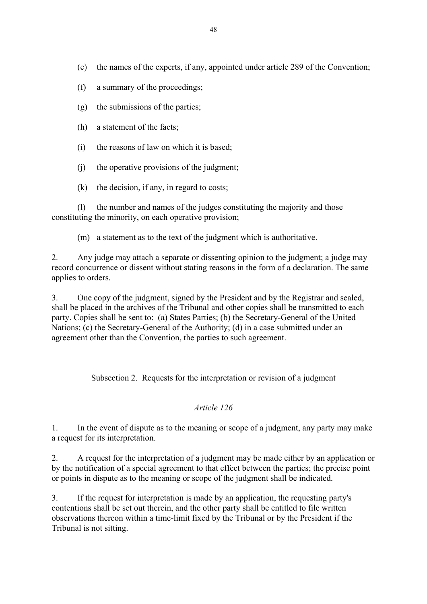- (e) the names of the experts, if any, appointed under article 289 of the Convention;
- (f) a summary of the proceedings;
- (g) the submissions of the parties;
- (h) a statement of the facts;
- (i) the reasons of law on which it is based;
- (j) the operative provisions of the judgment;
- (k) the decision, if any, in regard to costs;

 (l) the number and names of the judges constituting the majority and those constituting the minority, on each operative provision;

(m) a statement as to the text of the judgment which is authoritative.

2. Any judge may attach a separate or dissenting opinion to the judgment; a judge may record concurrence or dissent without stating reasons in the form of a declaration. The same applies to orders.

3. One copy of the judgment, signed by the President and by the Registrar and sealed, shall be placed in the archives of the Tribunal and other copies shall be transmitted to each party. Copies shall be sent to: (a) States Parties; (b) the Secretary-General of the United Nations; (c) the Secretary-General of the Authority; (d) in a case submitted under an agreement other than the Convention, the parties to such agreement.

Subsection 2. Requests for the interpretation or revision of a judgment

### *Article 126*

1. In the event of dispute as to the meaning or scope of a judgment, any party may make a request for its interpretation.

2. A request for the interpretation of a judgment may be made either by an application or by the notification of a special agreement to that effect between the parties; the precise point or points in dispute as to the meaning or scope of the judgment shall be indicated.

3. If the request for interpretation is made by an application, the requesting party's contentions shall be set out therein, and the other party shall be entitled to file written observations thereon within a time-limit fixed by the Tribunal or by the President if the Tribunal is not sitting.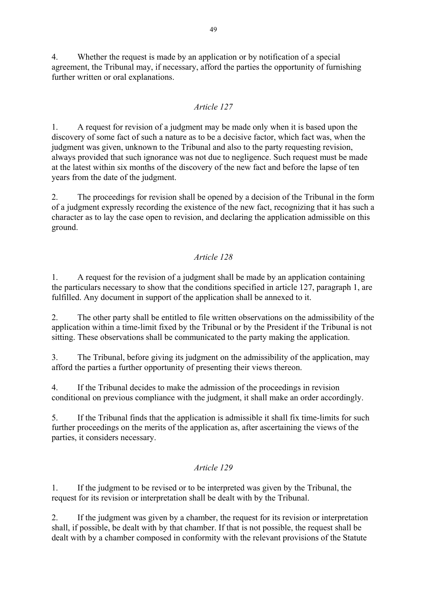4. Whether the request is made by an application or by notification of a special agreement, the Tribunal may, if necessary, afford the parties the opportunity of furnishing further written or oral explanations.

# *Article 127*

1. A request for revision of a judgment may be made only when it is based upon the discovery of some fact of such a nature as to be a decisive factor, which fact was, when the judgment was given, unknown to the Tribunal and also to the party requesting revision, always provided that such ignorance was not due to negligence. Such request must be made at the latest within six months of the discovery of the new fact and before the lapse of ten years from the date of the judgment.

2. The proceedings for revision shall be opened by a decision of the Tribunal in the form of a judgment expressly recording the existence of the new fact, recognizing that it has such a character as to lay the case open to revision, and declaring the application admissible on this ground.

# *Article 128*

1. A request for the revision of a judgment shall be made by an application containing the particulars necessary to show that the conditions specified in article 127, paragraph 1, are fulfilled. Any document in support of the application shall be annexed to it.

2. The other party shall be entitled to file written observations on the admissibility of the application within a time-limit fixed by the Tribunal or by the President if the Tribunal is not sitting. These observations shall be communicated to the party making the application.

3. The Tribunal, before giving its judgment on the admissibility of the application, may afford the parties a further opportunity of presenting their views thereon.

4. If the Tribunal decides to make the admission of the proceedings in revision conditional on previous compliance with the judgment, it shall make an order accordingly.

5. If the Tribunal finds that the application is admissible it shall fix time-limits for such further proceedings on the merits of the application as, after ascertaining the views of the parties, it considers necessary.

### *Article 129*

1. If the judgment to be revised or to be interpreted was given by the Tribunal, the request for its revision or interpretation shall be dealt with by the Tribunal.

2. If the judgment was given by a chamber, the request for its revision or interpretation shall, if possible, be dealt with by that chamber. If that is not possible, the request shall be dealt with by a chamber composed in conformity with the relevant provisions of the Statute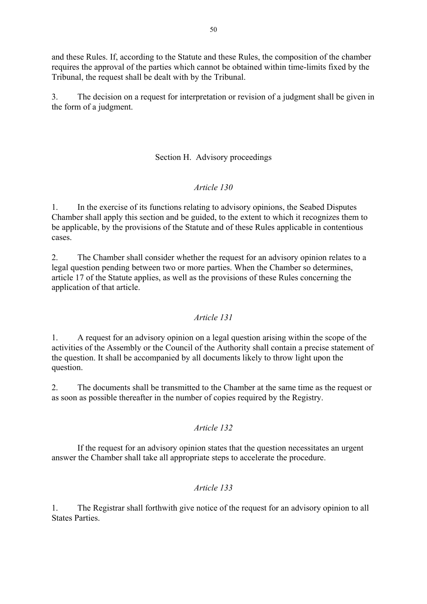and these Rules. If, according to the Statute and these Rules, the composition of the chamber requires the approval of the parties which cannot be obtained within time-limits fixed by the Tribunal, the request shall be dealt with by the Tribunal.

3. The decision on a request for interpretation or revision of a judgment shall be given in the form of a judgment.

# Section H. Advisory proceedings

### *Article 130*

1. In the exercise of its functions relating to advisory opinions, the Seabed Disputes Chamber shall apply this section and be guided, to the extent to which it recognizes them to be applicable, by the provisions of the Statute and of these Rules applicable in contentious cases.

2. The Chamber shall consider whether the request for an advisory opinion relates to a legal question pending between two or more parties. When the Chamber so determines, article 17 of the Statute applies, as well as the provisions of these Rules concerning the application of that article.

#### *Article 131*

1. A request for an advisory opinion on a legal question arising within the scope of the activities of the Assembly or the Council of the Authority shall contain a precise statement of the question. It shall be accompanied by all documents likely to throw light upon the question.

2. The documents shall be transmitted to the Chamber at the same time as the request or as soon as possible thereafter in the number of copies required by the Registry.

### *Article 132*

 If the request for an advisory opinion states that the question necessitates an urgent answer the Chamber shall take all appropriate steps to accelerate the procedure.

### *Article 133*

1. The Registrar shall forthwith give notice of the request for an advisory opinion to all States Parties.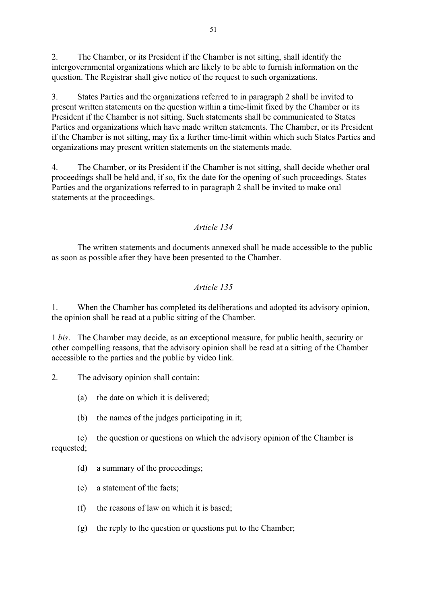2. The Chamber, or its President if the Chamber is not sitting, shall identify the intergovernmental organizations which are likely to be able to furnish information on the question. The Registrar shall give notice of the request to such organizations.

3. States Parties and the organizations referred to in paragraph 2 shall be invited to present written statements on the question within a time-limit fixed by the Chamber or its President if the Chamber is not sitting. Such statements shall be communicated to States Parties and organizations which have made written statements. The Chamber, or its President if the Chamber is not sitting, may fix a further time-limit within which such States Parties and organizations may present written statements on the statements made.

4. The Chamber, or its President if the Chamber is not sitting, shall decide whether oral proceedings shall be held and, if so, fix the date for the opening of such proceedings. States Parties and the organizations referred to in paragraph 2 shall be invited to make oral statements at the proceedings.

### *Article 134*

 The written statements and documents annexed shall be made accessible to the public as soon as possible after they have been presented to the Chamber.

# *Article 135*

1. When the Chamber has completed its deliberations and adopted its advisory opinion, the opinion shall be read at a public sitting of the Chamber.

1 *bis*. The Chamber may decide, as an exceptional measure, for public health, security or other compelling reasons, that the advisory opinion shall be read at a sitting of the Chamber accessible to the parties and the public by video link.

2. The advisory opinion shall contain:

- (a) the date on which it is delivered;
- (b) the names of the judges participating in it;

 (c) the question or questions on which the advisory opinion of the Chamber is requested;

- (d) a summary of the proceedings;
- (e) a statement of the facts;
- (f) the reasons of law on which it is based;
- (g) the reply to the question or questions put to the Chamber;